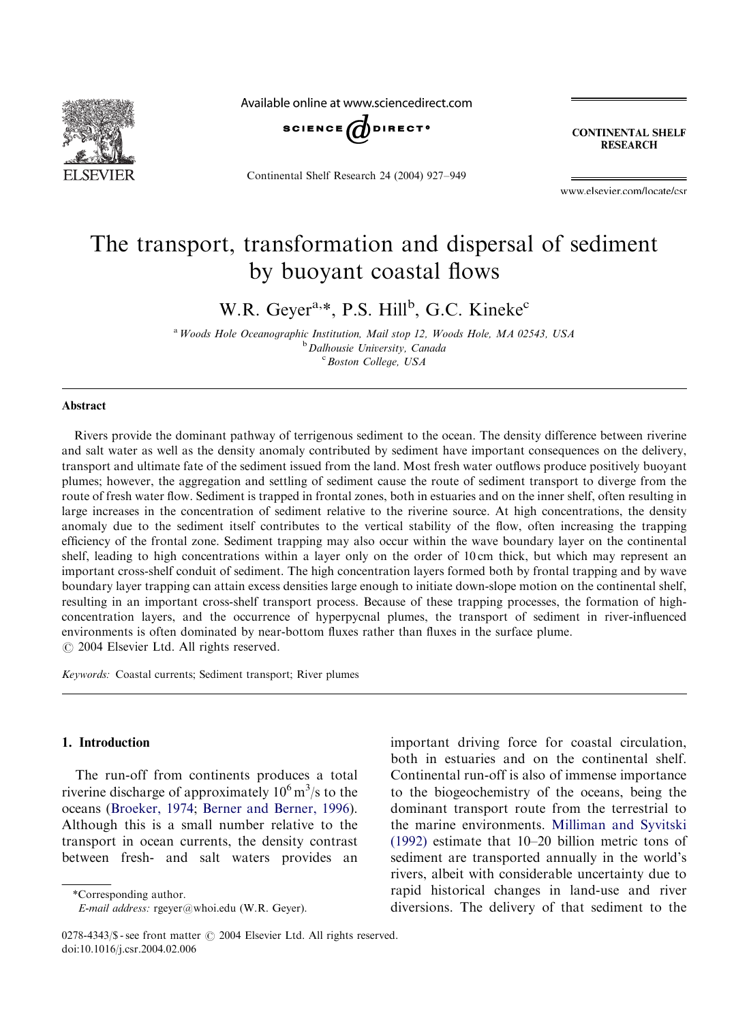

Available online at www.sciencedirect.com



Continental Shelf Research 24 (2004) 927–949

**CONTINENTAL SHELF RESEARCH** 

www.elsevier.com/locate/csr

# The transport, transformation and dispersal of sediment by buoyant coastal flows

W.R. Geyer<sup>a,\*</sup>, P.S. Hill<sup>b</sup>, G.C. Kineke<sup>c</sup>

<sup>a</sup> Woods Hole Oceanographic Institution, Mail stop 12, Woods Hole, MA 02543, USA <sup>b</sup> Dalhousie University, Canada <sup>c</sup> Boston College, USA

#### Abstract

Rivers provide the dominant pathway of terrigenous sediment to the ocean. The density difference between riverine and salt water as well as the density anomaly contributed by sediment have important consequences on the delivery, transport and ultimate fate of the sediment issued from the land. Most fresh water outflows produce positively buoyant plumes; however, the aggregation and settling of sediment cause the route of sediment transport to diverge from the route of fresh water flow. Sediment is trapped in frontal zones, both in estuaries and on the inner shelf, often resulting in large increases in the concentration of sediment relative to the riverine source. At high concentrations, the density anomaly due to the sediment itself contributes to the vertical stability of the flow, often increasing the trapping efficiency of the frontal zone. Sediment trapping may also occur within the wave boundary layer on the continental shelf, leading to high concentrations within a layer only on the order of 10 cm thick, but which may represent an important cross-shelf conduit of sediment. The high concentration layers formed both by frontal trapping and by wave boundary layer trapping can attain excess densities large enough to initiate down-slope motion on the continental shelf, resulting in an important cross-shelf transport process. Because of these trapping processes, the formation of highconcentration layers, and the occurrence of hyperpycnal plumes, the transport of sediment in river-influenced environments is often dominated by near-bottom fluxes rather than fluxes in the surface plume.  $\odot$  2004 Elsevier Ltd. All rights reserved.

Keywords: Coastal currents; Sediment transport; River plumes

# 1. Introduction

The run-off from continents produces a total riverine discharge of approximately  $10^6 \text{ m}^3/\text{s}$  to the oceans [\(Broeker, 1974;](#page-18-0) [Berner and Berner, 1996\)](#page-18-0). Although this is a small number relative to the transport in ocean currents, the density contrast between fresh- and salt waters provides an

\*Corresponding author.

E-mail address: rgeyer@whoi.edu (W.R. Geyer).

important driving force for coastal circulation, both in estuaries and on the continental shelf. Continental run-off is also of immense importance to the biogeochemistry of the oceans, being the dominant transport route from the terrestrial to the marine environments. [Milliman and Syvitski](#page-20-0) [\(1992\)](#page-20-0) estimate that 10–20 billion metric tons of sediment are transported annually in the world's rivers, albeit with considerable uncertainty due to rapid historical changes in land-use and river diversions. The delivery of that sediment to the

<sup>0278-4343/\$ -</sup> see front matter  $\odot$  2004 Elsevier Ltd. All rights reserved. doi:10.1016/j.csr.2004.02.006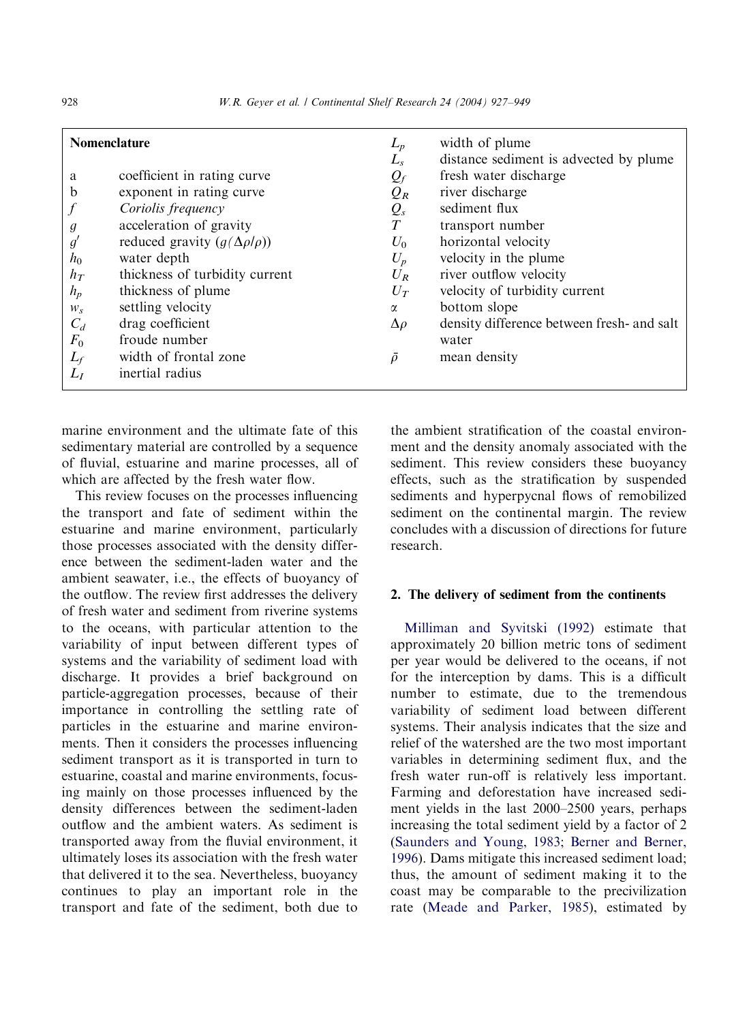| <b>Nomenclature</b> |                                         | $L_p$                      | width of plume                             |
|---------------------|-----------------------------------------|----------------------------|--------------------------------------------|
|                     |                                         | $L_{\scriptscriptstyle S}$ | distance sediment is advected by plume     |
| a                   | coefficient in rating curve             | $Q_f$                      | fresh water discharge                      |
| b                   | exponent in rating curve                | $Q_R$                      | river discharge                            |
| f                   | Coriolis frequency                      | $Q_s$                      | sediment flux                              |
| $\mathfrak{g}$      | acceleration of gravity                 | $\boldsymbol{T}$           | transport number                           |
| g'                  | reduced gravity $(g(\Delta \rho/\rho))$ | $U_0$                      | horizontal velocity                        |
| $h_0$               | water depth                             | $U_p$                      | velocity in the plume                      |
| $h_T$               | thickness of turbidity current          | $U_R$                      | river outflow velocity                     |
| $h_p$               | thickness of plume                      | $U_T$                      | velocity of turbidity current              |
| $W_{S}$             | settling velocity                       | $\alpha$                   | bottom slope                               |
| $C_d$               | drag coefficient                        | $\Delta \rho$              | density difference between fresh- and salt |
| $F_0$               | froude number                           |                            | water                                      |
| $L_f$               | width of frontal zone                   | $\bar{\rho}$               | mean density                               |
| $L_I$               | inertial radius                         |                            |                                            |

marine environment and the ultimate fate of this sedimentary material are controlled by a sequence of fluvial, estuarine and marine processes, all of which are affected by the fresh water flow.

This review focuses on the processes influencing the transport and fate of sediment within the estuarine and marine environment, particularly those processes associated with the density difference between the sediment-laden water and the ambient seawater, i.e., the effects of buoyancy of the outflow. The review first addresses the delivery of fresh water and sediment from riverine systems to the oceans, with particular attention to the variability of input between different types of systems and the variability of sediment load with discharge. It provides a brief background on particle-aggregation processes, because of their importance in controlling the settling rate of particles in the estuarine and marine environments. Then it considers the processes influencing sediment transport as it is transported in turn to estuarine, coastal and marine environments, focusing mainly on those processes influenced by the density differences between the sediment-laden outflow and the ambient waters. As sediment is transported away from the fluvial environment, it ultimately loses its association with the fresh water that delivered it to the sea. Nevertheless, buoyancy continues to play an important role in the transport and fate of the sediment, both due to

the ambient stratification of the coastal environment and the density anomaly associated with the sediment. This review considers these buoyancy effects, such as the stratification by suspended sediments and hyperpycnal flows of remobilized sediment on the continental margin. The review concludes with a discussion of directions for future research.

## 2. The delivery of sediment from the continents

[Milliman and Syvitski \(1992\)](#page-20-0) estimate that approximately 20 billion metric tons of sediment per year would be delivered to the oceans, if not for the interception by dams. This is a difficult number to estimate, due to the tremendous variability of sediment load between different systems. Their analysis indicates that the size and relief of the watershed are the two most important variables in determining sediment flux, and the fresh water run-off is relatively less important. Farming and deforestation have increased sediment yields in the last 2000–2500 years, perhaps increasing the total sediment yield by a factor of 2 [\(Saunders and Young, 1983](#page-21-0); [Berner and Berner,](#page-18-0) [1996\)](#page-18-0). Dams mitigate this increased sediment load; thus, the amount of sediment making it to the coast may be comparable to the precivilization rate ([Meade and Parker, 1985](#page-20-0)), estimated by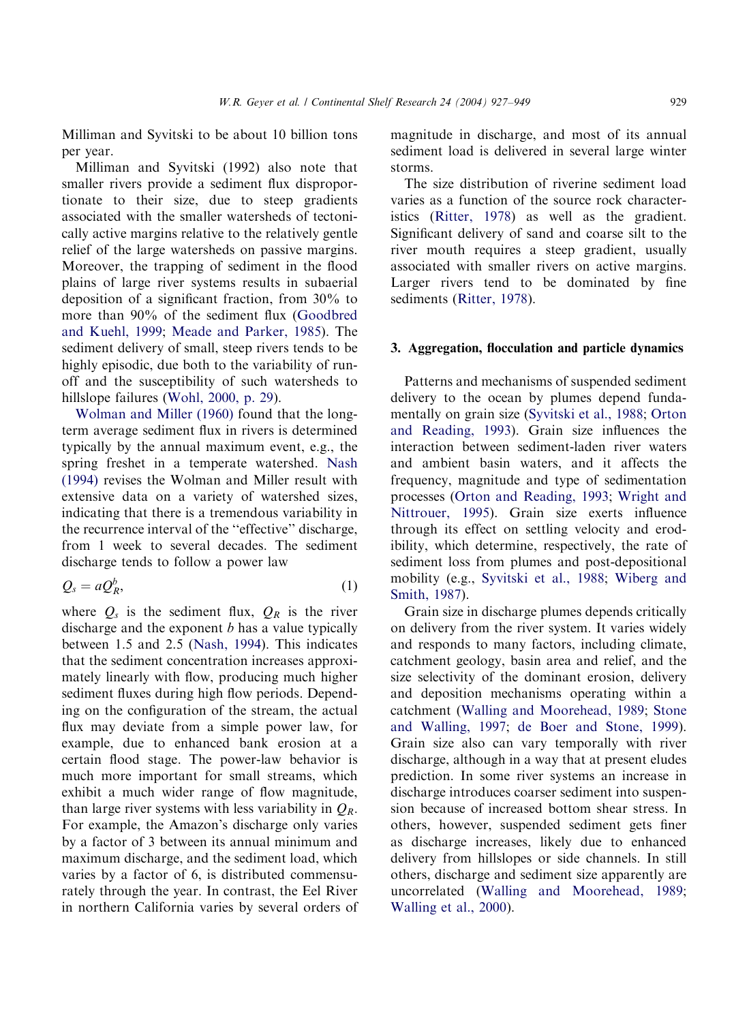Milliman and Syvitski to be about 10 billion tons per year.

Milliman and Syvitski (1992) also note that smaller rivers provide a sediment flux disproportionate to their size, due to steep gradients associated with the smaller watersheds of tectonically active margins relative to the relatively gentle relief of the large watersheds on passive margins. Moreover, the trapping of sediment in the flood plains of large river systems results in subaerial deposition of a significant fraction, from 30% to more than 90% of the sediment flux [\(Goodbred](#page-19-0) [and Kuehl, 1999;](#page-19-0) [Meade and Parker, 1985](#page-20-0)). The sediment delivery of small, steep rivers tends to be highly episodic, due both to the variability of runoff and the susceptibility of such watersheds to hillslope failures ([Wohl, 2000, p. 29\)](#page-21-0).

[Wolman and Miller \(1960\)](#page-21-0) found that the longterm average sediment flux in rivers is determined typically by the annual maximum event, e.g., the spring freshet in a temperate watershed. [Nash](#page-20-0) [\(1994\)](#page-20-0) revises the Wolman and Miller result with extensive data on a variety of watershed sizes, indicating that there is a tremendous variability in the recurrence interval of the ''effective'' discharge, from 1 week to several decades. The sediment discharge tends to follow a power law

$$
Q_s = aQ_R^b,\tag{1}
$$

where  $Q_s$  is the sediment flux,  $Q_R$  is the river discharge and the exponent  $b$  has a value typically between 1.5 and 2.5 [\(Nash, 1994\)](#page-20-0). This indicates that the sediment concentration increases approximately linearly with flow, producing much higher sediment fluxes during high flow periods. Depending on the configuration of the stream, the actual flux may deviate from a simple power law, for example, due to enhanced bank erosion at a certain flood stage. The power-law behavior is much more important for small streams, which exhibit a much wider range of flow magnitude, than large river systems with less variability in  $Q_R$ . For example, the Amazon's discharge only varies by a factor of 3 between its annual minimum and maximum discharge, and the sediment load, which varies by a factor of 6, is distributed commensurately through the year. In contrast, the Eel River in northern California varies by several orders of magnitude in discharge, and most of its annual sediment load is delivered in several large winter storms.

The size distribution of riverine sediment load varies as a function of the source rock characteristics ([Ritter, 1978](#page-21-0)) as well as the gradient. Significant delivery of sand and coarse silt to the river mouth requires a steep gradient, usually associated with smaller rivers on active margins. Larger rivers tend to be dominated by fine sediments [\(Ritter, 1978\)](#page-21-0).

## 3. Aggregation, flocculation and particle dynamics

Patterns and mechanisms of suspended sediment delivery to the ocean by plumes depend fundamentally on grain size [\(Syvitski et al., 1988;](#page-21-0) [Orton](#page-21-0) [and Reading, 1993](#page-21-0)). Grain size influences the interaction between sediment-laden river waters and ambient basin waters, and it affects the frequency, magnitude and type of sedimentation processes ([Orton and Reading, 1993](#page-21-0); [Wright and](#page-22-0) [Nittrouer, 1995\)](#page-22-0). Grain size exerts influence through its effect on settling velocity and erodibility, which determine, respectively, the rate of sediment loss from plumes and post-depositional mobility (e.g., [Syvitski et al., 1988](#page-21-0); [Wiberg and](#page-21-0) [Smith, 1987](#page-21-0)).

Grain size in discharge plumes depends critically on delivery from the river system. It varies widely and responds to many factors, including climate, catchment geology, basin area and relief, and the size selectivity of the dominant erosion, delivery and deposition mechanisms operating within a catchment [\(Walling and Moorehead, 1989](#page-21-0); [Stone](#page-21-0) [and Walling, 1997;](#page-21-0) [de Boer and Stone, 1999](#page-19-0)). Grain size also can vary temporally with river discharge, although in a way that at present eludes prediction. In some river systems an increase in discharge introduces coarser sediment into suspension because of increased bottom shear stress. In others, however, suspended sediment gets finer as discharge increases, likely due to enhanced delivery from hillslopes or side channels. In still others, discharge and sediment size apparently are uncorrelated ([Walling and Moorehead, 1989](#page-21-0); [Walling et al., 2000](#page-21-0)).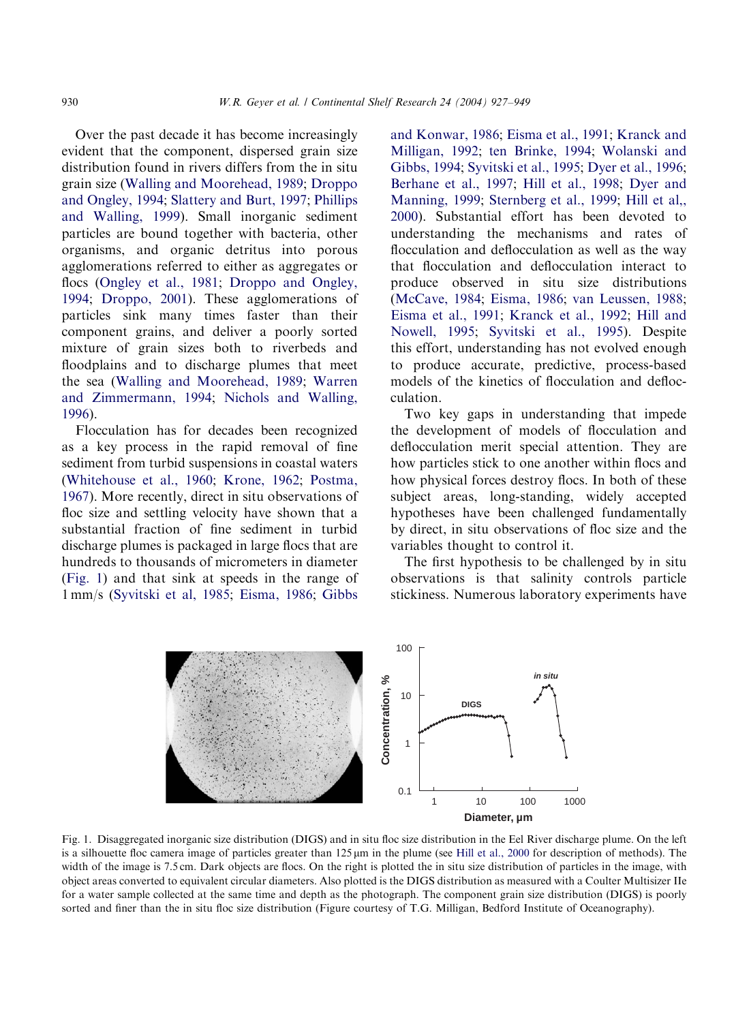Over the past decade it has become increasingly evident that the component, dispersed grain size distribution found in rivers differs from the in situ grain size ([Walling and Moorehead, 1989;](#page-21-0) [Droppo](#page-19-0) [and Ongley, 1994;](#page-19-0) [Slattery and Burt, 1997](#page-21-0); [Phillips](#page-21-0) [and Walling, 1999\)](#page-21-0). Small inorganic sediment particles are bound together with bacteria, other organisms, and organic detritus into porous agglomerations referred to either as aggregates or flocs ([Ongley et al., 1981;](#page-20-0) [Droppo and Ongley,](#page-19-0) [1994;](#page-19-0) [Droppo, 2001\)](#page-19-0). These agglomerations of particles sink many times faster than their component grains, and deliver a poorly sorted mixture of grain sizes both to riverbeds and floodplains and to discharge plumes that meet the sea [\(Walling and Moorehead, 1989](#page-21-0); [Warren](#page-21-0) [and Zimmermann, 1994;](#page-21-0) [Nichols and Walling,](#page-20-0) [1996\)](#page-20-0).

Flocculation has for decades been recognized as a key process in the rapid removal of fine sediment from turbid suspensions in coastal waters [\(Whitehouse et al., 1960;](#page-21-0) [Krone, 1962;](#page-20-0) [Postma,](#page-21-0) [1967\)](#page-21-0). More recently, direct in situ observations of floc size and settling velocity have shown that a substantial fraction of fine sediment in turbid discharge plumes is packaged in large flocs that are hundreds to thousands of micrometers in diameter (Fig. 1) and that sink at speeds in the range of 1 mm/s ([Syvitski et al, 1985](#page-21-0); [Eisma, 1986](#page-19-0); [Gibbs](#page-19-0)

[and Konwar, 1986;](#page-19-0) [Eisma et al., 1991;](#page-19-0) [Kranck and](#page-20-0) [Milligan, 1992;](#page-20-0) [ten Brinke, 1994;](#page-21-0) [Wolanski and](#page-21-0) [Gibbs, 1994;](#page-21-0) [Syvitski et al., 1995;](#page-21-0) [Dyer et al., 1996](#page-19-0); [Berhane et al., 1997](#page-18-0); [Hill et al., 1998](#page-19-0); [Dyer and](#page-19-0) [Manning, 1999](#page-19-0); [Sternberg et al., 1999](#page-21-0); Hill et al., [2000\)](#page-19-0). Substantial effort has been devoted to understanding the mechanisms and rates of flocculation and deflocculation as well as the way that flocculation and deflocculation interact to produce observed in situ size distributions [\(McCave, 1984;](#page-20-0) [Eisma, 1986](#page-19-0); [van Leussen, 1988](#page-21-0); [Eisma et al., 1991](#page-19-0); [Kranck et al., 1992;](#page-20-0) [Hill and](#page-19-0) [Nowell, 1995](#page-19-0); [Syvitski et al., 1995](#page-21-0)). Despite this effort, understanding has not evolved enough to produce accurate, predictive, process-based models of the kinetics of flocculation and deflocculation.

Two key gaps in understanding that impede the development of models of flocculation and deflocculation merit special attention. They are how particles stick to one another within flocs and how physical forces destroy flocs. In both of these subject areas, long-standing, widely accepted hypotheses have been challenged fundamentally by direct, in situ observations of floc size and the variables thought to control it.

The first hypothesis to be challenged by in situ observations is that salinity controls particle stickiness. Numerous laboratory experiments have



Fig. 1. Disaggregated inorganic size distribution (DIGS) and in situ floc size distribution in the Eel River discharge plume. On the left is a silhouette floc camera image of particles greater than 125  $\mu$ m in the plume (see [Hill et al., 2000](#page-19-0) for description of methods). The width of the image is 7.5 cm. Dark objects are flocs. On the right is plotted the in situ size distribution of particles in the image, with object areas converted to equivalent circular diameters. Also plotted is the DIGS distribution as measured with a Coulter Multisizer IIe for a water sample collected at the same time and depth as the photograph. The component grain size distribution (DIGS) is poorly sorted and finer than the in situ floc size distribution (Figure courtesy of T.G. Milligan, Bedford Institute of Oceanography).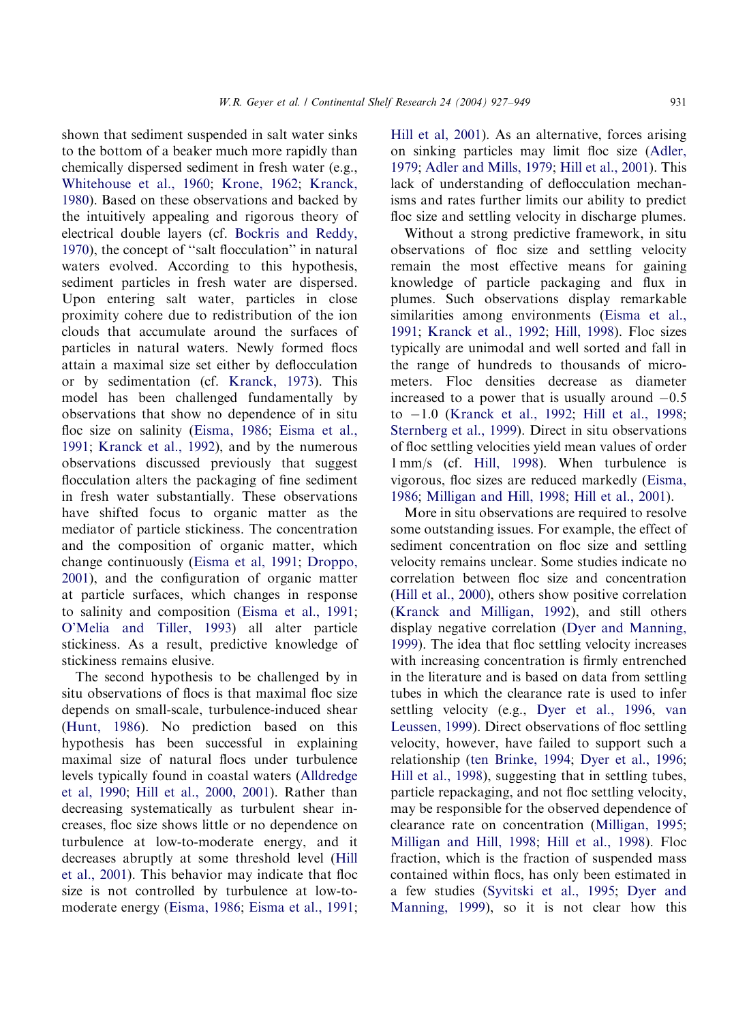shown that sediment suspended in salt water sinks to the bottom of a beaker much more rapidly than chemically dispersed sediment in fresh water (e.g., [Whitehouse et al., 1960;](#page-21-0) [Krone, 1962;](#page-20-0) [Kranck,](#page-20-0) [1980\)](#page-20-0). Based on these observations and backed by the intuitively appealing and rigorous theory of electrical double layers (cf. [Bockris and Reddy,](#page-18-0) [1970\)](#page-18-0), the concept of ''salt flocculation'' in natural waters evolved. According to this hypothesis, sediment particles in fresh water are dispersed. Upon entering salt water, particles in close proximity cohere due to redistribution of the ion clouds that accumulate around the surfaces of particles in natural waters. Newly formed flocs attain a maximal size set either by deflocculation or by sedimentation (cf. [Kranck, 1973](#page-20-0)). This model has been challenged fundamentally by observations that show no dependence of in situ floc size on salinity ([Eisma, 1986;](#page-19-0) [Eisma et al.,](#page-19-0) [1991;](#page-19-0) [Kranck et al., 1992](#page-20-0)), and by the numerous observations discussed previously that suggest flocculation alters the packaging of fine sediment in fresh water substantially. These observations have shifted focus to organic matter as the mediator of particle stickiness. The concentration and the composition of organic matter, which change continuously ([Eisma et al, 1991;](#page-19-0) [Droppo,](#page-19-0) [2001\)](#page-19-0), and the configuration of organic matter at particle surfaces, which changes in response to salinity and composition ([Eisma et al., 1991](#page-19-0); [O'Melia and Tiller, 1993](#page-20-0)) all alter particle stickiness. As a result, predictive knowledge of stickiness remains elusive.

The second hypothesis to be challenged by in situ observations of flocs is that maximal floc size depends on small-scale, turbulence-induced shear [\(Hunt, 1986](#page-20-0)). No prediction based on this hypothesis has been successful in explaining maximal size of natural flocs under turbulence levels typically found in coastal waters [\(Alldredge](#page-18-0) [et al, 1990;](#page-18-0) [Hill et al., 2000, 2001](#page-19-0)). Rather than decreasing systematically as turbulent shear increases, floc size shows little or no dependence on turbulence at low-to-moderate energy, and it decreases abruptly at some threshold level ([Hill](#page-19-0) [et al., 2001\)](#page-19-0). This behavior may indicate that floc size is not controlled by turbulence at low-tomoderate energy ([Eisma, 1986;](#page-19-0) [Eisma et al., 1991](#page-19-0);

[Hill et al, 2001\)](#page-19-0). As an alternative, forces arising on sinking particles may limit floc size [\(Adler,](#page-18-0) [1979;](#page-18-0) [Adler and Mills, 1979;](#page-18-0) [Hill et al., 2001\)](#page-19-0). This lack of understanding of deflocculation mechanisms and rates further limits our ability to predict floc size and settling velocity in discharge plumes.

Without a strong predictive framework, in situ observations of floc size and settling velocity remain the most effective means for gaining knowledge of particle packaging and flux in plumes. Such observations display remarkable similarities among environments [\(Eisma et al.,](#page-19-0) [1991;](#page-19-0) [Kranck et al., 1992](#page-20-0); [Hill, 1998](#page-19-0)). Floc sizes typically are unimodal and well sorted and fall in the range of hundreds to thousands of micrometers. Floc densities decrease as diameter increased to a power that is usually around  $-0.5$ to 1.0 ([Kranck et al., 1992;](#page-20-0) [Hill et al., 1998](#page-19-0); [Sternberg et al., 1999\)](#page-21-0). Direct in situ observations of floc settling velocities yield mean values of order 1 mm/s (cf. [Hill, 1998\)](#page-19-0). When turbulence is vigorous, floc sizes are reduced markedly [\(Eisma,](#page-19-0) [1986;](#page-19-0) [Milligan and Hill, 1998](#page-20-0); [Hill et al., 2001](#page-19-0)).

More in situ observations are required to resolve some outstanding issues. For example, the effect of sediment concentration on floc size and settling velocity remains unclear. Some studies indicate no correlation between floc size and concentration [\(Hill et al., 2000](#page-19-0)), others show positive correlation [\(Kranck and Milligan, 1992\)](#page-20-0), and still others display negative correlation ([Dyer and Manning,](#page-19-0) [1999\)](#page-19-0). The idea that floc settling velocity increases with increasing concentration is firmly entrenched in the literature and is based on data from settling tubes in which the clearance rate is used to infer settling velocity (e.g., [Dyer et al., 1996,](#page-19-0) [van](#page-21-0) [Leussen, 1999](#page-21-0)). Direct observations of floc settling velocity, however, have failed to support such a relationship ([ten Brinke, 1994;](#page-21-0) [Dyer et al., 1996](#page-19-0); [Hill et al., 1998\)](#page-19-0), suggesting that in settling tubes, particle repackaging, and not floc settling velocity, may be responsible for the observed dependence of clearance rate on concentration ([Milligan, 1995](#page-20-0); [Milligan and Hill, 1998;](#page-20-0) [Hill et al., 1998](#page-19-0)). Floc fraction, which is the fraction of suspended mass contained within flocs, has only been estimated in a few studies [\(Syvitski et al., 1995;](#page-21-0) [Dyer and](#page-19-0) [Manning, 1999\)](#page-19-0), so it is not clear how this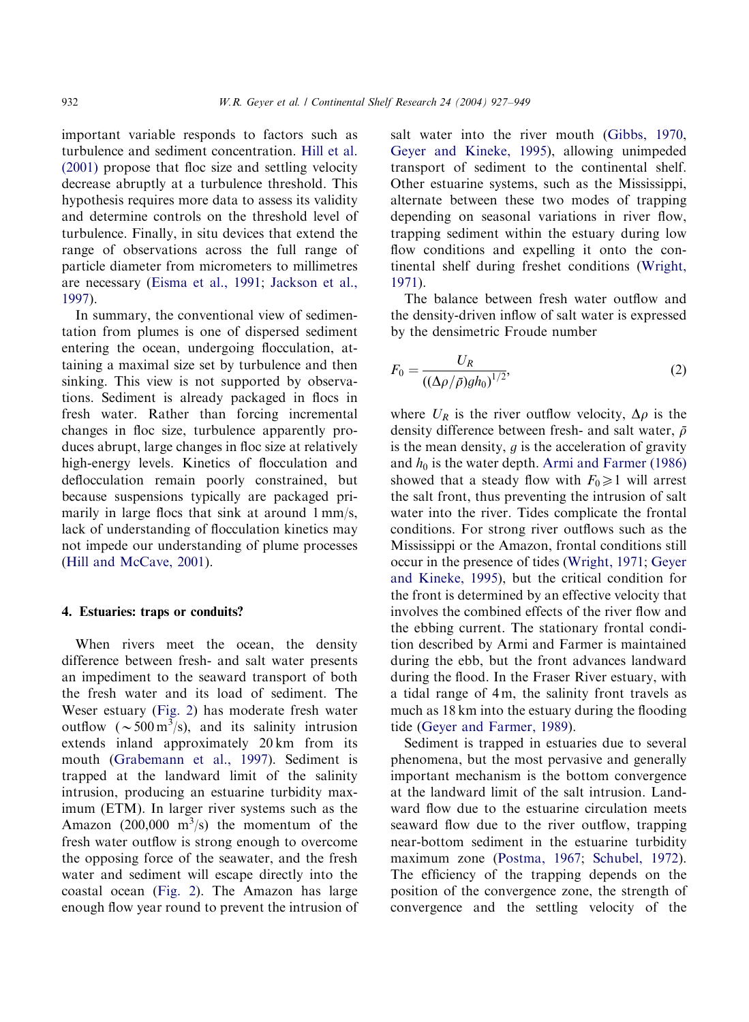important variable responds to factors such as turbulence and sediment concentration. [Hill et al.](#page-19-0) [\(2001\)](#page-19-0) propose that floc size and settling velocity decrease abruptly at a turbulence threshold. This hypothesis requires more data to assess its validity and determine controls on the threshold level of turbulence. Finally, in situ devices that extend the range of observations across the full range of particle diameter from micrometers to millimetres are necessary ([Eisma et al., 1991;](#page-19-0) [Jackson et al.,](#page-20-0) [1997\)](#page-20-0).

In summary, the conventional view of sedimentation from plumes is one of dispersed sediment entering the ocean, undergoing flocculation, attaining a maximal size set by turbulence and then sinking. This view is not supported by observations. Sediment is already packaged in flocs in fresh water. Rather than forcing incremental changes in floc size, turbulence apparently produces abrupt, large changes in floc size at relatively high-energy levels. Kinetics of flocculation and deflocculation remain poorly constrained, but because suspensions typically are packaged primarily in large flocs that sink at around 1 mm/s, lack of understanding of flocculation kinetics may not impede our understanding of plume processes [\(Hill and McCave, 2001\)](#page-19-0).

### 4. Estuaries: traps or conduits?

When rivers meet the ocean, the density difference between fresh- and salt water presents an impediment to the seaward transport of both the fresh water and its load of sediment. The Weser estuary ([Fig. 2](#page-6-0)) has moderate fresh water outflow  $(\sim 500 \,\mathrm{m}^3/\mathrm{s})$ , and its salinity intrusion extends inland approximately 20 km from its mouth ([Grabemann et al., 1997\)](#page-19-0). Sediment is trapped at the landward limit of the salinity intrusion, producing an estuarine turbidity maximum (ETM). In larger river systems such as the Amazon (200,000  $\text{m}^3\text{/s}$ ) the momentum of the fresh water outflow is strong enough to overcome the opposing force of the seawater, and the fresh water and sediment will escape directly into the coastal ocean [\(Fig. 2](#page-6-0)). The Amazon has large enough flow year round to prevent the intrusion of salt water into the river mouth ([Gibbs, 1970](#page-19-0), [Geyer and Kineke, 1995](#page-19-0)), allowing unimpeded transport of sediment to the continental shelf. Other estuarine systems, such as the Mississippi, alternate between these two modes of trapping depending on seasonal variations in river flow, trapping sediment within the estuary during low flow conditions and expelling it onto the continental shelf during freshet conditions [\(Wright,](#page-21-0) [1971\)](#page-21-0).

The balance between fresh water outflow and the density-driven inflow of salt water is expressed by the densimetric Froude number

$$
F_0 = \frac{U_R}{\left( (\Delta \rho / \bar{\rho}) g h_0 \right)^{1/2}},\tag{2}
$$

where  $U_R$  is the river outflow velocity,  $\Delta \rho$  is the density difference between fresh- and salt water,  $\bar{\rho}$ is the mean density,  $g$  is the acceleration of gravity and  $h_0$  is the water depth. [Armi and Farmer \(1986\)](#page-18-0) showed that a steady flow with  $F_0 \ge 1$  will arrest the salt front, thus preventing the intrusion of salt water into the river. Tides complicate the frontal conditions. For strong river outflows such as the Mississippi or the Amazon, frontal conditions still occur in the presence of tides ([Wright, 1971](#page-21-0); [Geyer](#page-19-0) [and Kineke, 1995\)](#page-19-0), but the critical condition for the front is determined by an effective velocity that involves the combined effects of the river flow and the ebbing current. The stationary frontal condition described by Armi and Farmer is maintained during the ebb, but the front advances landward during the flood. In the Fraser River estuary, with a tidal range of 4 m, the salinity front travels as much as 18 km into the estuary during the flooding tide [\(Geyer and Farmer, 1989\)](#page-19-0).

Sediment is trapped in estuaries due to several phenomena, but the most pervasive and generally important mechanism is the bottom convergence at the landward limit of the salt intrusion. Landward flow due to the estuarine circulation meets seaward flow due to the river outflow, trapping near-bottom sediment in the estuarine turbidity maximum zone ([Postma, 1967](#page-21-0); [Schubel, 1972](#page-21-0)). The efficiency of the trapping depends on the position of the convergence zone, the strength of convergence and the settling velocity of the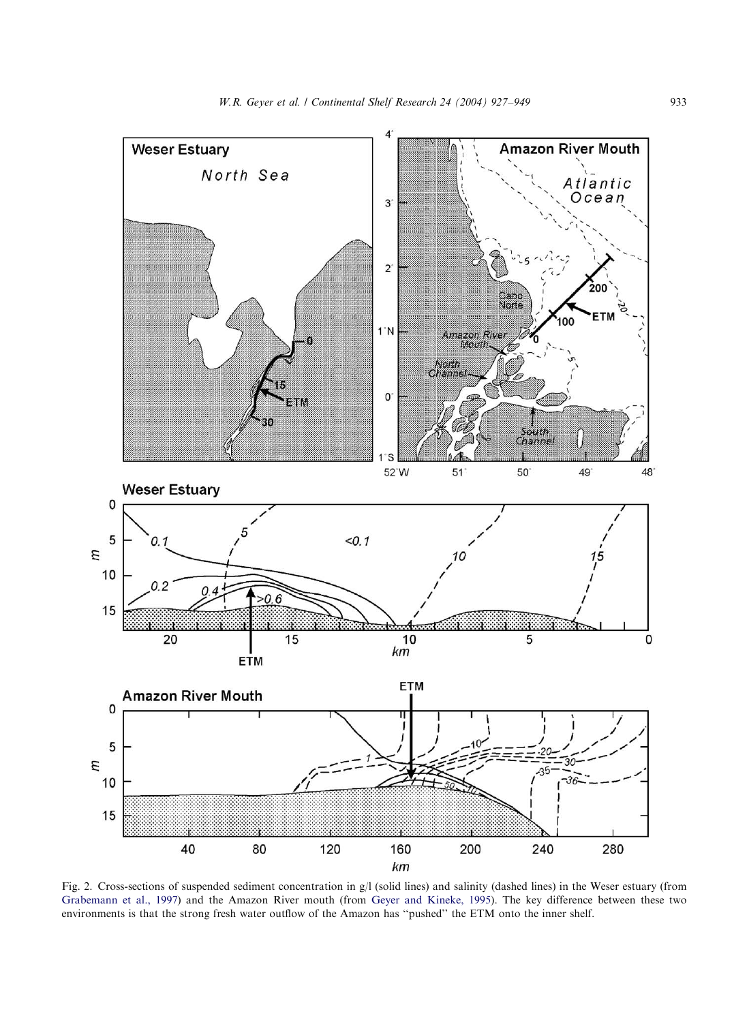<span id="page-6-0"></span>

Fig. 2. Cross-sections of suspended sediment concentration in g/l (solid lines) and salinity (dashed lines) in the Weser estuary (from [Grabemann et al., 1997](#page-19-0)) and the Amazon River mouth (from [Geyer and Kineke, 1995\)](#page-19-0). The key difference between these two environments is that the strong fresh water outflow of the Amazon has ''pushed'' the ETM onto the inner shelf.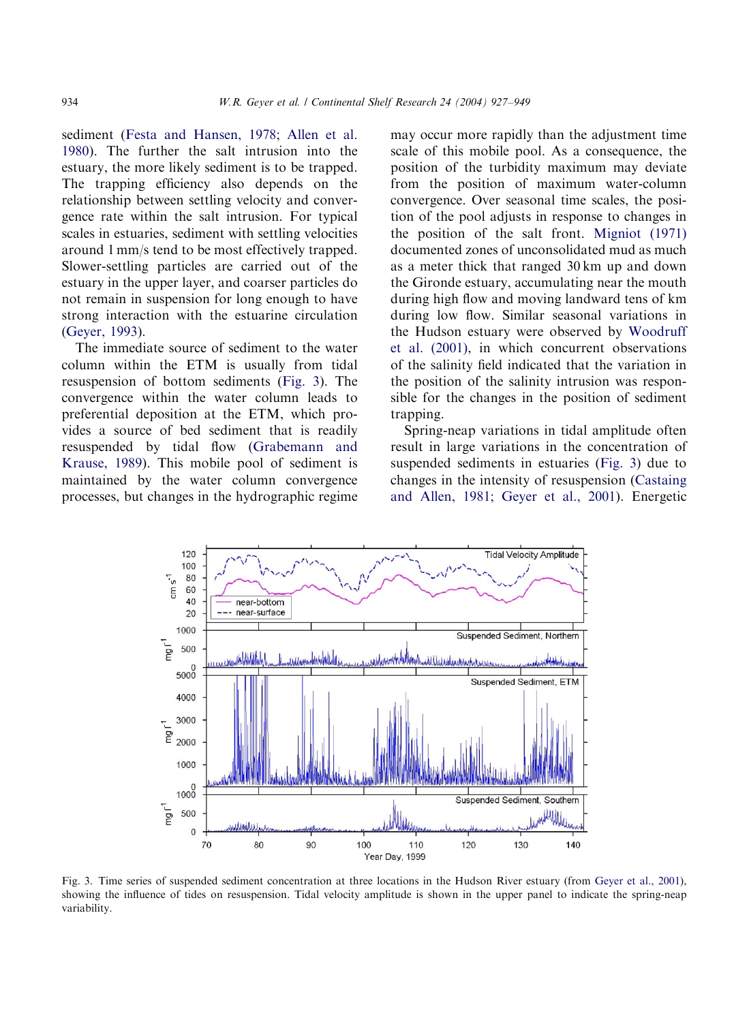sediment [\(Festa and Hansen, 1978;](#page-19-0) [Allen et al.](#page-18-0) [1980\)](#page-18-0). The further the salt intrusion into the estuary, the more likely sediment is to be trapped. The trapping efficiency also depends on the relationship between settling velocity and convergence rate within the salt intrusion. For typical scales in estuaries, sediment with settling velocities around 1 mm/s tend to be most effectively trapped. Slower-settling particles are carried out of the estuary in the upper layer, and coarser particles do not remain in suspension for long enough to have strong interaction with the estuarine circulation [\(Geyer, 1993\)](#page-19-0).

The immediate source of sediment to the water column within the ETM is usually from tidal resuspension of bottom sediments (Fig. 3). The convergence within the water column leads to preferential deposition at the ETM, which provides a source of bed sediment that is readily resuspended by tidal flow ([Grabemann and](#page-19-0) [Krause, 1989](#page-19-0)). This mobile pool of sediment is maintained by the water column convergence processes, but changes in the hydrographic regime

may occur more rapidly than the adjustment time scale of this mobile pool. As a consequence, the position of the turbidity maximum may deviate from the position of maximum water-column convergence. Over seasonal time scales, the position of the pool adjusts in response to changes in the position of the salt front. [Migniot \(1971\)](#page-20-0) documented zones of unconsolidated mud as much as a meter thick that ranged 30 km up and down the Gironde estuary, accumulating near the mouth during high flow and moving landward tens of km during low flow. Similar seasonal variations in the Hudson estuary were observed by [Woodruff](#page-21-0) [et al. \(2001\)](#page-21-0), in which concurrent observations of the salinity field indicated that the variation in the position of the salinity intrusion was responsible for the changes in the position of sediment trapping.

Spring-neap variations in tidal amplitude often result in large variations in the concentration of suspended sediments in estuaries (Fig. 3) due to changes in the intensity of resuspension ([Castaing](#page-18-0) [and Allen, 1981](#page-18-0); [Geyer et al., 2001\)](#page-19-0). Energetic



Fig. 3. Time series of suspended sediment concentration at three locations in the Hudson River estuary (from [Geyer et al., 2001](#page-19-0)), showing the influence of tides on resuspension. Tidal velocity amplitude is shown in the upper panel to indicate the spring-neap variability.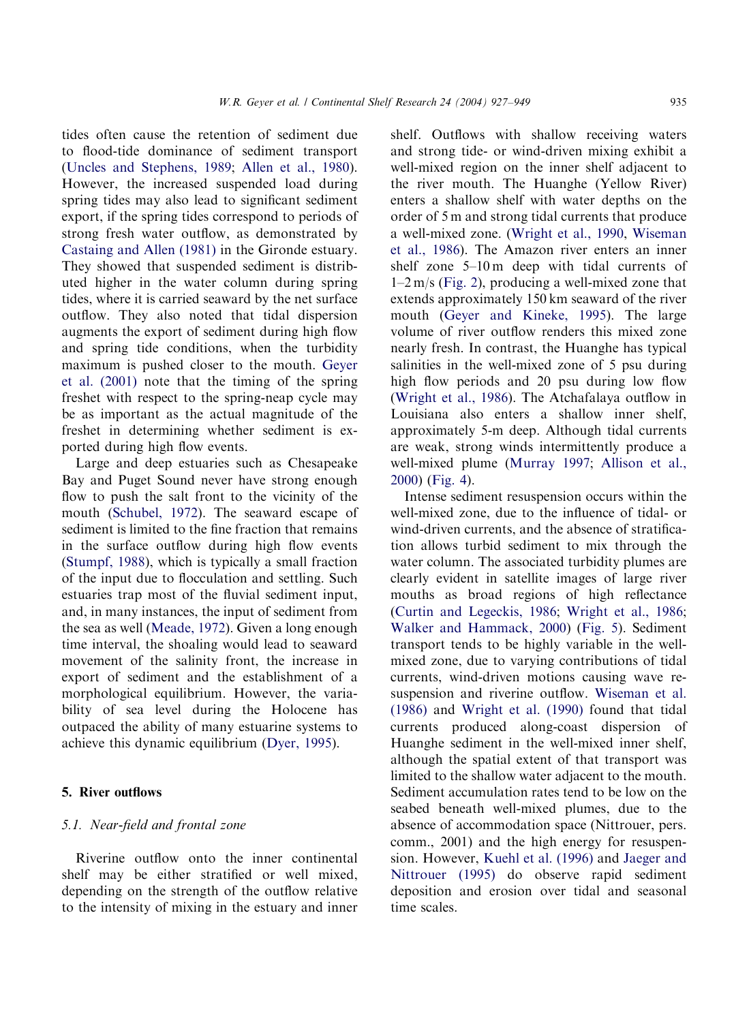tides often cause the retention of sediment due to flood-tide dominance of sediment transport [\(Uncles and Stephens, 1989](#page-21-0); [Allen et al., 1980\)](#page-18-0). However, the increased suspended load during spring tides may also lead to significant sediment export, if the spring tides correspond to periods of strong fresh water outflow, as demonstrated by [Castaing and Allen \(1981\)](#page-18-0) in the Gironde estuary. They showed that suspended sediment is distributed higher in the water column during spring tides, where it is carried seaward by the net surface outflow. They also noted that tidal dispersion augments the export of sediment during high flow and spring tide conditions, when the turbidity maximum is pushed closer to the mouth. [Geyer](#page-19-0) [et al. \(2001\)](#page-19-0) note that the timing of the spring freshet with respect to the spring-neap cycle may be as important as the actual magnitude of the freshet in determining whether sediment is exported during high flow events.

Large and deep estuaries such as Chesapeake Bay and Puget Sound never have strong enough flow to push the salt front to the vicinity of the mouth ([Schubel, 1972\)](#page-21-0). The seaward escape of sediment is limited to the fine fraction that remains in the surface outflow during high flow events [\(Stumpf, 1988](#page-21-0)), which is typically a small fraction of the input due to flocculation and settling. Such estuaries trap most of the fluvial sediment input, and, in many instances, the input of sediment from the sea as well ([Meade, 1972\)](#page-20-0). Given a long enough time interval, the shoaling would lead to seaward movement of the salinity front, the increase in export of sediment and the establishment of a morphological equilibrium. However, the variability of sea level during the Holocene has outpaced the ability of many estuarine systems to achieve this dynamic equilibrium ([Dyer, 1995](#page-19-0)).

#### 5. River outflows

## 5.1. Near-field and frontal zone

Riverine outflow onto the inner continental shelf may be either stratified or well mixed, depending on the strength of the outflow relative to the intensity of mixing in the estuary and inner shelf. Outflows with shallow receiving waters and strong tide- or wind-driven mixing exhibit a well-mixed region on the inner shelf adjacent to the river mouth. The Huanghe (Yellow River) enters a shallow shelf with water depths on the order of 5 m and strong tidal currents that produce a well-mixed zone. ([Wright et al., 1990](#page-22-0), [Wiseman](#page-21-0) [et al., 1986](#page-21-0)). The Amazon river enters an inner shelf zone 5–10 m deep with tidal currents of 1–2 m/s [\(Fig. 2](#page-6-0)), producing a well-mixed zone that extends approximately 150 km seaward of the river mouth ([Geyer and Kineke, 1995\)](#page-19-0). The large volume of river outflow renders this mixed zone nearly fresh. In contrast, the Huanghe has typical salinities in the well-mixed zone of 5 psu during high flow periods and 20 psu during low flow [\(Wright et al., 1986](#page-22-0)). The Atchafalaya outflow in Louisiana also enters a shallow inner shelf, approximately 5-m deep. Although tidal currents are weak, strong winds intermittently produce a well-mixed plume [\(Murray 1997;](#page-20-0) [Allison et al.,](#page-18-0) [2000\)](#page-18-0) ([Fig. 4](#page-9-0)).

Intense sediment resuspension occurs within the well-mixed zone, due to the influence of tidal- or wind-driven currents, and the absence of stratification allows turbid sediment to mix through the water column. The associated turbidity plumes are clearly evident in satellite images of large river mouths as broad regions of high reflectance [\(Curtin and Legeckis, 1986;](#page-19-0) [Wright et al., 1986](#page-22-0); [Walker and Hammack, 2000\)](#page-21-0) ([Fig. 5](#page-9-0)). Sediment transport tends to be highly variable in the wellmixed zone, due to varying contributions of tidal currents, wind-driven motions causing wave resuspension and riverine outflow. [Wiseman et al.](#page-21-0) [\(1986\)](#page-21-0) and [Wright et al. \(1990\)](#page-22-0) found that tidal currents produced along-coast dispersion of Huanghe sediment in the well-mixed inner shelf, although the spatial extent of that transport was limited to the shallow water adjacent to the mouth. Sediment accumulation rates tend to be low on the seabed beneath well-mixed plumes, due to the absence of accommodation space (Nittrouer, pers. comm., 2001) and the high energy for resuspension. However, [Kuehl et al. \(1996\)](#page-20-0) and [Jaeger and](#page-20-0) [Nittrouer \(1995\)](#page-20-0) do observe rapid sediment deposition and erosion over tidal and seasonal time scales.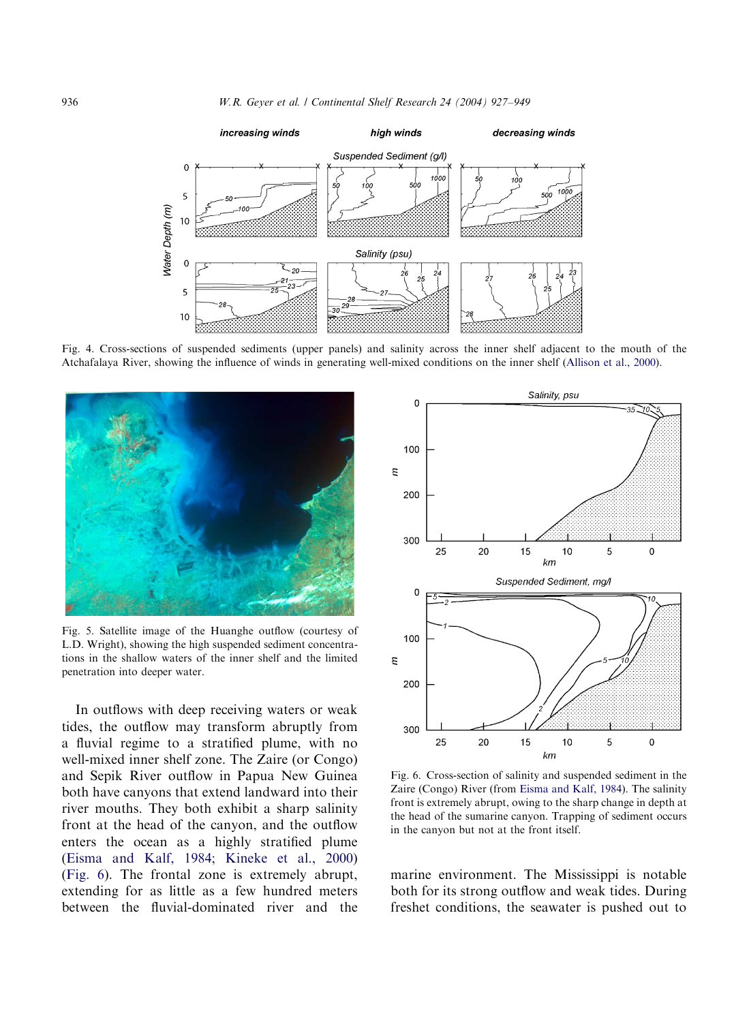<span id="page-9-0"></span>

Fig. 4. Cross-sections of suspended sediments (upper panels) and salinity across the inner shelf adjacent to the mouth of the Atchafalaya River, showing the influence of winds in generating well-mixed conditions on the inner shelf ([Allison et al., 2000\)](#page-18-0).



Fig. 5. Satellite image of the Huanghe outflow (courtesy of L.D. Wright), showing the high suspended sediment concentrations in the shallow waters of the inner shelf and the limited penetration into deeper water.

In outflows with deep receiving waters or weak tides, the outflow may transform abruptly from a fluvial regime to a stratified plume, with no well-mixed inner shelf zone. The Zaire (or Congo) and Sepik River outflow in Papua New Guinea both have canyons that extend landward into their river mouths. They both exhibit a sharp salinity front at the head of the canyon, and the outflow enters the ocean as a highly stratified plume [\(Eisma and Kalf, 1984;](#page-19-0) [Kineke et al., 2000\)](#page-20-0) (Fig. 6). The frontal zone is extremely abrupt, extending for as little as a few hundred meters between the fluvial-dominated river and the



Fig. 6. Cross-section of salinity and suspended sediment in the Zaire (Congo) River (from [Eisma and Kalf, 1984\)](#page-19-0). The salinity front is extremely abrupt, owing to the sharp change in depth at the head of the sumarine canyon. Trapping of sediment occurs in the canyon but not at the front itself.

marine environment. The Mississippi is notable both for its strong outflow and weak tides. During freshet conditions, the seawater is pushed out to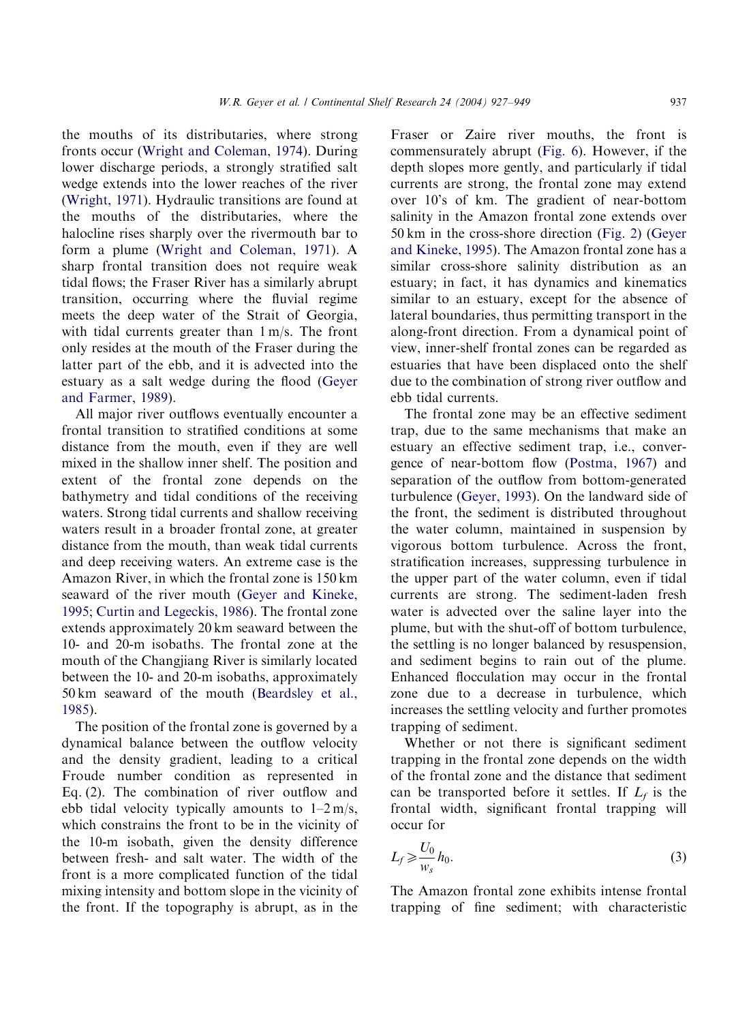the mouths of its distributaries, where strong fronts occur [\(Wright and Coleman, 1974](#page-22-0)). During lower discharge periods, a strongly stratified salt wedge extends into the lower reaches of the river [\(Wright, 1971](#page-21-0)). Hydraulic transitions are found at the mouths of the distributaries, where the halocline rises sharply over the rivermouth bar to form a plume ([Wright and Coleman, 1971\)](#page-21-0). A sharp frontal transition does not require weak tidal flows; the Fraser River has a similarly abrupt transition, occurring where the fluvial regime meets the deep water of the Strait of Georgia, with tidal currents greater than 1 m/s. The front only resides at the mouth of the Fraser during the latter part of the ebb, and it is advected into the estuary as a salt wedge during the flood [\(Geyer](#page-19-0) [and Farmer, 1989](#page-19-0)).

All major river outflows eventually encounter a frontal transition to stratified conditions at some distance from the mouth, even if they are well mixed in the shallow inner shelf. The position and extent of the frontal zone depends on the bathymetry and tidal conditions of the receiving waters. Strong tidal currents and shallow receiving waters result in a broader frontal zone, at greater distance from the mouth, than weak tidal currents and deep receiving waters. An extreme case is the Amazon River, in which the frontal zone is 150 km seaward of the river mouth ([Geyer and Kineke,](#page-19-0) [1995;](#page-19-0) [Curtin and Legeckis, 1986](#page-19-0)). The frontal zone extends approximately 20 km seaward between the 10- and 20-m isobaths. The frontal zone at the mouth of the Changjiang River is similarly located between the 10- and 20-m isobaths, approximately 50 km seaward of the mouth ([Beardsley et al.,](#page-18-0) [1985\)](#page-18-0).

The position of the frontal zone is governed by a dynamical balance between the outflow velocity and the density gradient, leading to a critical Froude number condition as represented in Eq. (2). The combination of river outflow and ebb tidal velocity typically amounts to  $1-2 \text{ m/s}$ , which constrains the front to be in the vicinity of the 10-m isobath, given the density difference between fresh- and salt water. The width of the front is a more complicated function of the tidal mixing intensity and bottom slope in the vicinity of the front. If the topography is abrupt, as in the

Fraser or Zaire river mouths, the front is commensurately abrupt [\(Fig. 6](#page-9-0)). However, if the depth slopes more gently, and particularly if tidal currents are strong, the frontal zone may extend over 10's of km. The gradient of near-bottom salinity in the Amazon frontal zone extends over 50 km in the cross-shore direction [\(Fig. 2](#page-6-0)) [\(Geyer](#page-19-0) [and Kineke, 1995\)](#page-19-0). The Amazon frontal zone has a similar cross-shore salinity distribution as an estuary; in fact, it has dynamics and kinematics similar to an estuary, except for the absence of lateral boundaries, thus permitting transport in the along-front direction. From a dynamical point of view, inner-shelf frontal zones can be regarded as estuaries that have been displaced onto the shelf due to the combination of strong river outflow and ebb tidal currents.

The frontal zone may be an effective sediment trap, due to the same mechanisms that make an estuary an effective sediment trap, i.e., convergence of near-bottom flow ([Postma, 1967](#page-21-0)) and separation of the outflow from bottom-generated turbulence [\(Geyer, 1993\)](#page-19-0). On the landward side of the front, the sediment is distributed throughout the water column, maintained in suspension by vigorous bottom turbulence. Across the front, stratification increases, suppressing turbulence in the upper part of the water column, even if tidal currents are strong. The sediment-laden fresh water is advected over the saline layer into the plume, but with the shut-off of bottom turbulence, the settling is no longer balanced by resuspension, and sediment begins to rain out of the plume. Enhanced flocculation may occur in the frontal zone due to a decrease in turbulence, which increases the settling velocity and further promotes trapping of sediment.

Whether or not there is significant sediment trapping in the frontal zone depends on the width of the frontal zone and the distance that sediment can be transported before it settles. If  $L_f$  is the frontal width, significant frontal trapping will occur for

$$
L_f \geqslant \frac{U_0}{w_s} h_0. \tag{3}
$$

The Amazon frontal zone exhibits intense frontal trapping of fine sediment; with characteristic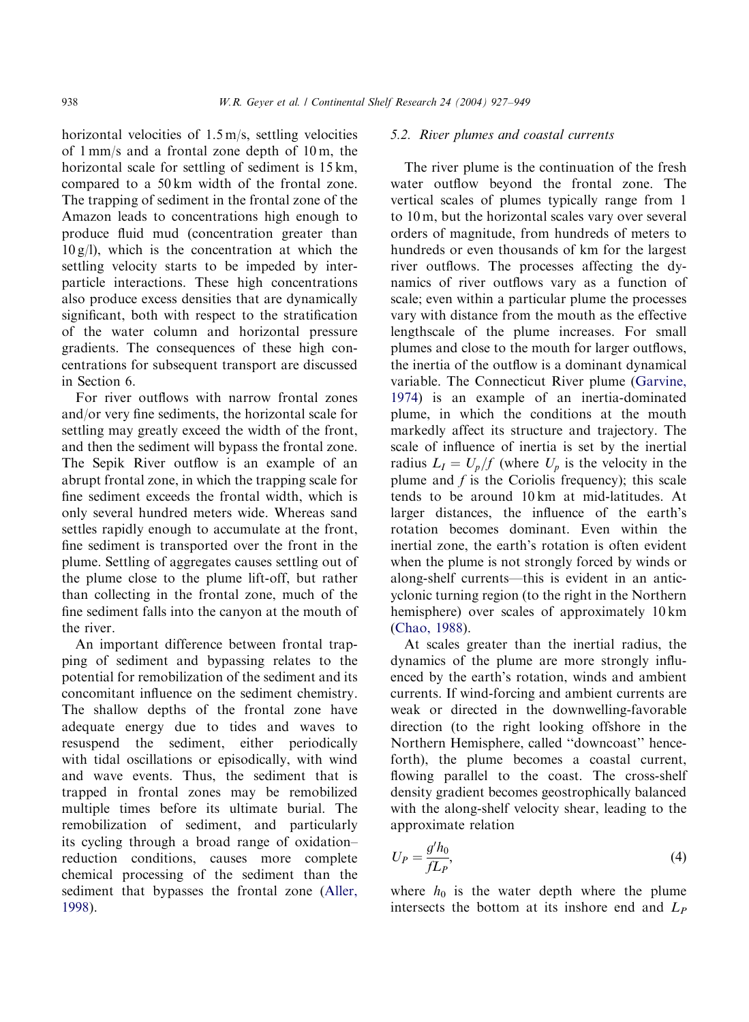horizontal velocities of 1.5 m/s, settling velocities of 1 mm/s and a frontal zone depth of 10 m, the horizontal scale for settling of sediment is 15 km, compared to a 50 km width of the frontal zone. The trapping of sediment in the frontal zone of the Amazon leads to concentrations high enough to produce fluid mud (concentration greater than  $10 \text{ g/l}$ , which is the concentration at which the settling velocity starts to be impeded by interparticle interactions. These high concentrations also produce excess densities that are dynamically significant, both with respect to the stratification of the water column and horizontal pressure gradients. The consequences of these high concentrations for subsequent transport are discussed in Section 6.

For river outflows with narrow frontal zones and/or very fine sediments, the horizontal scale for settling may greatly exceed the width of the front, and then the sediment will bypass the frontal zone. The Sepik River outflow is an example of an abrupt frontal zone, in which the trapping scale for fine sediment exceeds the frontal width, which is only several hundred meters wide. Whereas sand settles rapidly enough to accumulate at the front, fine sediment is transported over the front in the plume. Settling of aggregates causes settling out of the plume close to the plume lift-off, but rather than collecting in the frontal zone, much of the fine sediment falls into the canyon at the mouth of the river.

An important difference between frontal trapping of sediment and bypassing relates to the potential for remobilization of the sediment and its concomitant influence on the sediment chemistry. The shallow depths of the frontal zone have adequate energy due to tides and waves to resuspend the sediment, either periodically with tidal oscillations or episodically, with wind and wave events. Thus, the sediment that is trapped in frontal zones may be remobilized multiple times before its ultimate burial. The remobilization of sediment, and particularly its cycling through a broad range of oxidation– reduction conditions, causes more complete chemical processing of the sediment than the sediment that bypasses the frontal zone ([Aller,](#page-18-0) [1998\)](#page-18-0).

## 5.2. River plumes and coastal currents

The river plume is the continuation of the fresh water outflow beyond the frontal zone. The vertical scales of plumes typically range from 1 to 10 m, but the horizontal scales vary over several orders of magnitude, from hundreds of meters to hundreds or even thousands of km for the largest river outflows. The processes affecting the dynamics of river outflows vary as a function of scale; even within a particular plume the processes vary with distance from the mouth as the effective lengthscale of the plume increases. For small plumes and close to the mouth for larger outflows, the inertia of the outflow is a dominant dynamical variable. The Connecticut River plume ([Garvine,](#page-19-0) [1974\)](#page-19-0) is an example of an inertia-dominated plume, in which the conditions at the mouth markedly affect its structure and trajectory. The scale of influence of inertia is set by the inertial radius  $L_I = U_p/f$  (where  $U_p$  is the velocity in the plume and  $f$  is the Coriolis frequency); this scale tends to be around 10 km at mid-latitudes. At larger distances, the influence of the earth's rotation becomes dominant. Even within the inertial zone, the earth's rotation is often evident when the plume is not strongly forced by winds or along-shelf currents—this is evident in an anticyclonic turning region (to the right in the Northern hemisphere) over scales of approximately 10 km [\(Chao, 1988](#page-18-0)).

At scales greater than the inertial radius, the dynamics of the plume are more strongly influenced by the earth's rotation, winds and ambient currents. If wind-forcing and ambient currents are weak or directed in the downwelling-favorable direction (to the right looking offshore in the Northern Hemisphere, called ''downcoast'' henceforth), the plume becomes a coastal current, flowing parallel to the coast. The cross-shelf density gradient becomes geostrophically balanced with the along-shelf velocity shear, leading to the approximate relation

$$
U_P = \frac{g'h_0}{fL_P},\tag{4}
$$

where  $h_0$  is the water depth where the plume intersects the bottom at its inshore end and  $L_P$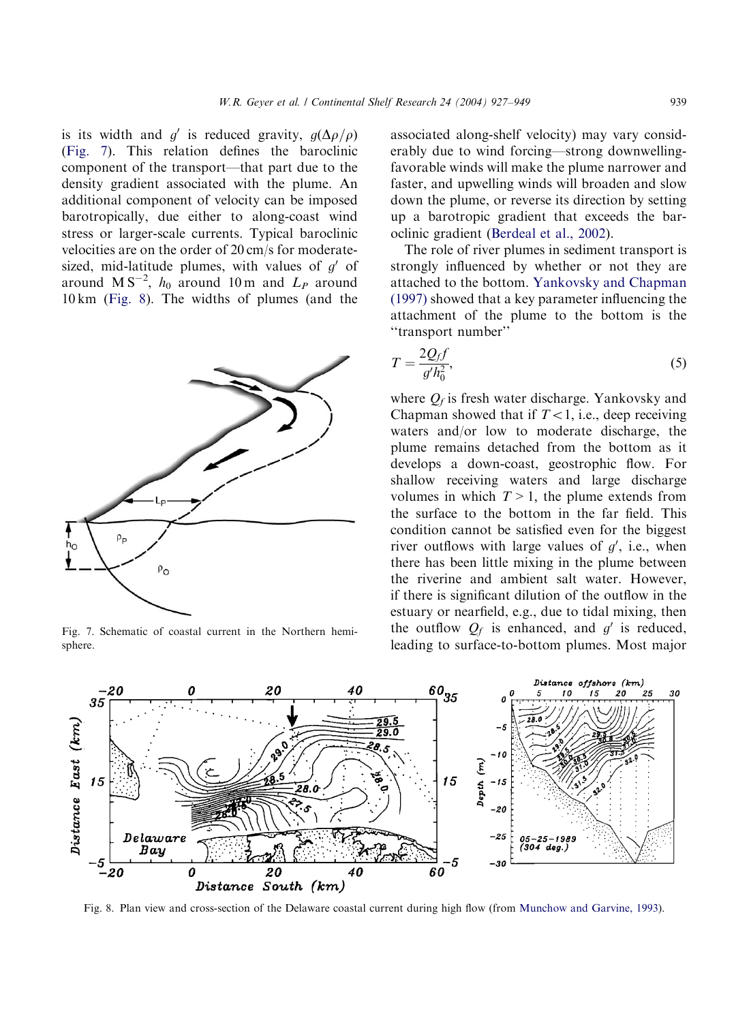is its width and g' is reduced gravity,  $g(\Delta\rho/\rho)$ (Fig. 7). This relation defines the baroclinic component of the transport—that part due to the density gradient associated with the plume. An additional component of velocity can be imposed barotropically, due either to along-coast wind stress or larger-scale currents. Typical baroclinic velocities are on the order of 20 cm/s for moderatesized, mid-latitude plumes, with values of  $q'$  of around  $MS^{-2}$ ,  $h_0$  around 10 m and  $L_P$  around 10 km (Fig. 8). The widths of plumes (and the



Fig. 7. Schematic of coastal current in the Northern hemisphere.

associated along-shelf velocity) may vary considerably due to wind forcing—strong downwellingfavorable winds will make the plume narrower and faster, and upwelling winds will broaden and slow down the plume, or reverse its direction by setting up a barotropic gradient that exceeds the baroclinic gradient [\(Berdeal et al., 2002](#page-18-0)).

The role of river plumes in sediment transport is strongly influenced by whether or not they are attached to the bottom. [Yankovsky and Chapman](#page-22-0) [\(1997\)](#page-22-0) showed that a key parameter influencing the attachment of the plume to the bottom is the ''transport number''

$$
T = \frac{2Q_f f}{g'h_0^2},\tag{5}
$$

where  $Q_f$  is fresh water discharge. Yankovsky and Chapman showed that if  $T<1$ , i.e., deep receiving waters and/or low to moderate discharge, the plume remains detached from the bottom as it develops a down-coast, geostrophic flow. For shallow receiving waters and large discharge volumes in which  $T > 1$ , the plume extends from the surface to the bottom in the far field. This condition cannot be satisfied even for the biggest river outflows with large values of  $g'$ , i.e., when there has been little mixing in the plume between the riverine and ambient salt water. However, if there is significant dilution of the outflow in the estuary or nearfield, e.g., due to tidal mixing, then the outflow  $Q_f$  is enhanced, and  $g'$  is reduced, leading to surface-to-bottom plumes. Most major



Fig. 8. Plan view and cross-section of the Delaware coastal current during high flow (from [Munchow and Garvine, 1993](#page-20-0)).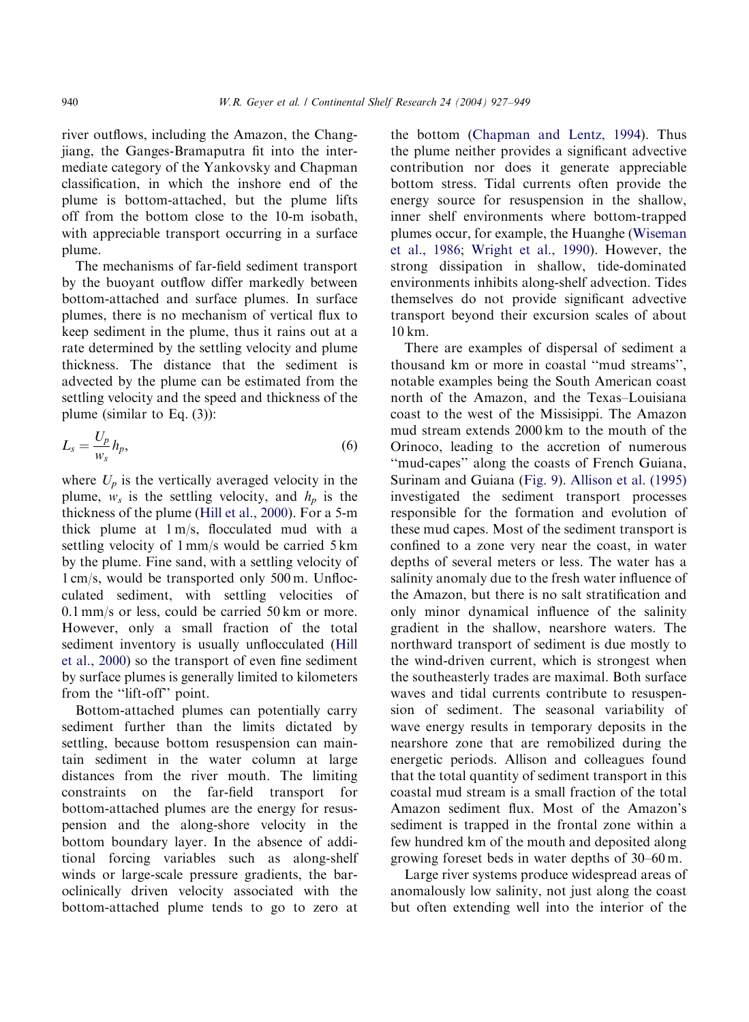river outflows, including the Amazon, the Changjiang, the Ganges-Bramaputra fit into the intermediate category of the Yankovsky and Chapman classification, in which the inshore end of the plume is bottom-attached, but the plume lifts off from the bottom close to the 10-m isobath, with appreciable transport occurring in a surface plume.

The mechanisms of far-field sediment transport by the buoyant outflow differ markedly between bottom-attached and surface plumes. In surface plumes, there is no mechanism of vertical flux to keep sediment in the plume, thus it rains out at a rate determined by the settling velocity and plume thickness. The distance that the sediment is advected by the plume can be estimated from the settling velocity and the speed and thickness of the plume (similar to Eq. (3)):

$$
L_s = \frac{U_p}{w_s} h_p,\tag{6}
$$

where  $U_p$  is the vertically averaged velocity in the plume,  $w_s$  is the settling velocity, and  $h_p$  is the thickness of the plume [\(Hill et al., 2000](#page-19-0)). For a 5-m thick plume at 1 m/s, flocculated mud with a settling velocity of 1 mm/s would be carried 5 km by the plume. Fine sand, with a settling velocity of 1 cm/s, would be transported only 500 m. Unflocculated sediment, with settling velocities of 0.1 mm/s or less, could be carried 50 km or more. However, only a small fraction of the total sediment inventory is usually unflocculated ([Hill](#page-19-0) [et al., 2000\)](#page-19-0) so the transport of even fine sediment by surface plumes is generally limited to kilometers from the "lift-off" point.

Bottom-attached plumes can potentially carry sediment further than the limits dictated by settling, because bottom resuspension can maintain sediment in the water column at large distances from the river mouth. The limiting constraints on the far-field transport for bottom-attached plumes are the energy for resuspension and the along-shore velocity in the bottom boundary layer. In the absence of additional forcing variables such as along-shelf winds or large-scale pressure gradients, the baroclinically driven velocity associated with the bottom-attached plume tends to go to zero at

the bottom ([Chapman and Lentz, 1994\)](#page-19-0). Thus the plume neither provides a significant advective contribution nor does it generate appreciable bottom stress. Tidal currents often provide the energy source for resuspension in the shallow, inner shelf environments where bottom-trapped plumes occur, for example, the Huanghe ([Wiseman](#page-21-0) [et al., 1986;](#page-21-0) [Wright et al., 1990\)](#page-22-0). However, the strong dissipation in shallow, tide-dominated environments inhibits along-shelf advection. Tides themselves do not provide significant advective transport beyond their excursion scales of about 10 km.

There are examples of dispersal of sediment a thousand km or more in coastal ''mud streams'', notable examples being the South American coast north of the Amazon, and the Texas–Louisiana coast to the west of the Missisippi. The Amazon mud stream extends 2000 km to the mouth of the Orinoco, leading to the accretion of numerous ''mud-capes'' along the coasts of French Guiana, Surinam and Guiana ([Fig. 9\)](#page-14-0). [Allison et al. \(1995\)](#page-18-0) investigated the sediment transport processes responsible for the formation and evolution of these mud capes. Most of the sediment transport is confined to a zone very near the coast, in water depths of several meters or less. The water has a salinity anomaly due to the fresh water influence of the Amazon, but there is no salt stratification and only minor dynamical influence of the salinity gradient in the shallow, nearshore waters. The northward transport of sediment is due mostly to the wind-driven current, which is strongest when the southeasterly trades are maximal. Both surface waves and tidal currents contribute to resuspension of sediment. The seasonal variability of wave energy results in temporary deposits in the nearshore zone that are remobilized during the energetic periods. Allison and colleagues found that the total quantity of sediment transport in this coastal mud stream is a small fraction of the total Amazon sediment flux. Most of the Amazon's sediment is trapped in the frontal zone within a few hundred km of the mouth and deposited along growing foreset beds in water depths of 30–60 m.

Large river systems produce widespread areas of anomalously low salinity, not just along the coast but often extending well into the interior of the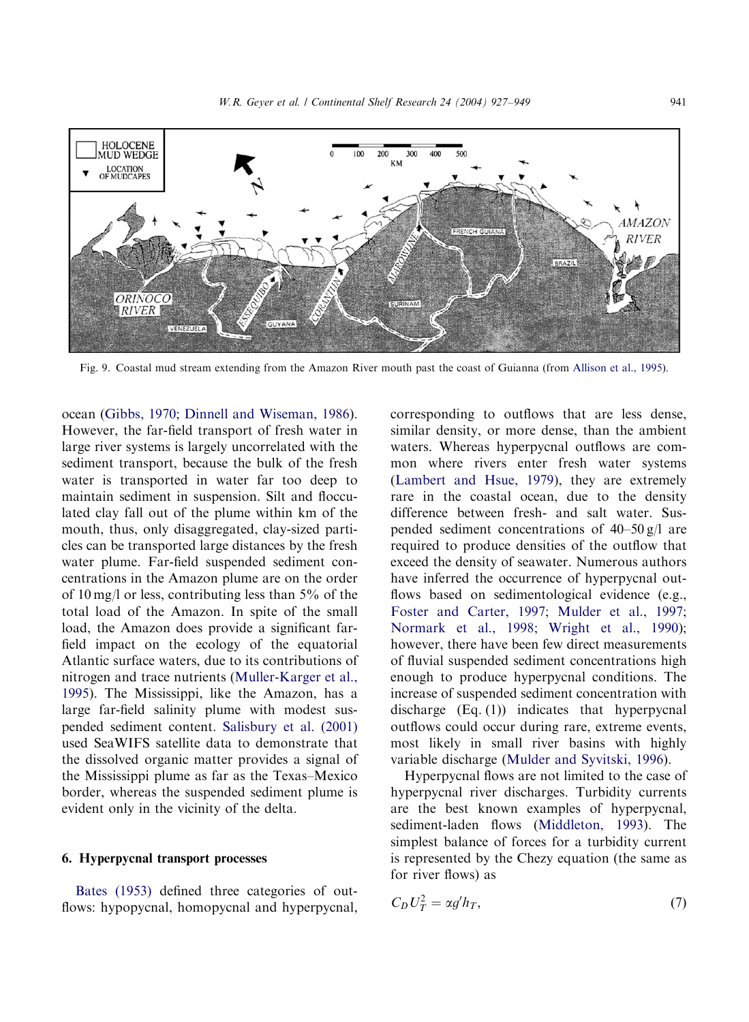<span id="page-14-0"></span>

Fig. 9. Coastal mud stream extending from the Amazon River mouth past the coast of Guianna (from [Allison et al., 1995](#page-18-0)).

ocean [\(Gibbs, 1970](#page-19-0); [Dinnell and Wiseman, 1986\)](#page-19-0). However, the far-field transport of fresh water in large river systems is largely uncorrelated with the sediment transport, because the bulk of the fresh water is transported in water far too deep to maintain sediment in suspension. Silt and flocculated clay fall out of the plume within km of the mouth, thus, only disaggregated, clay-sized particles can be transported large distances by the fresh water plume. Far-field suspended sediment concentrations in the Amazon plume are on the order of 10 mg/l or less, contributing less than 5% of the total load of the Amazon. In spite of the small load, the Amazon does provide a significant farfield impact on the ecology of the equatorial Atlantic surface waters, due to its contributions of nitrogen and trace nutrients ([Muller-Karger et al.,](#page-20-0) [1995\)](#page-20-0). The Mississippi, like the Amazon, has a large far-field salinity plume with modest suspended sediment content. [Salisbury et al. \(2001\)](#page-21-0) used SeaWIFS satellite data to demonstrate that the dissolved organic matter provides a signal of the Mississippi plume as far as the Texas–Mexico border, whereas the suspended sediment plume is evident only in the vicinity of the delta.

# 6. Hyperpycnal transport processes

[Bates \(1953\)](#page-18-0) defined three categories of outflows: hypopycnal, homopycnal and hyperpycnal, corresponding to outflows that are less dense, similar density, or more dense, than the ambient waters. Whereas hyperpycnal outflows are common where rivers enter fresh water systems [\(Lambert and Hsue, 1979\)](#page-20-0), they are extremely rare in the coastal ocean, due to the density difference between fresh- and salt water. Suspended sediment concentrations of 40–50 g/l are required to produce densities of the outflow that exceed the density of seawater. Numerous authors have inferred the occurrence of hyperpycnal outflows based on sedimentological evidence (e.g., [Foster and Carter, 1997](#page-19-0); [Mulder et al., 1997](#page-20-0); [Normark et al., 1998](#page-20-0); [Wright et al., 1990](#page-22-0)); however, there have been few direct measurements of fluvial suspended sediment concentrations high enough to produce hyperpycnal conditions. The increase of suspended sediment concentration with discharge (Eq. (1)) indicates that hyperpycnal outflows could occur during rare, extreme events, most likely in small river basins with highly variable discharge [\(Mulder and Syvitski, 1996](#page-20-0)).

Hyperpycnal flows are not limited to the case of hyperpycnal river discharges. Turbidity currents are the best known examples of hyperpycnal, sediment-laden flows [\(Middleton, 1993\)](#page-20-0). The simplest balance of forces for a turbidity current is represented by the Chezy equation (the same as for river flows) as

$$
C_D U_T^2 = \alpha g' h_T,\tag{7}
$$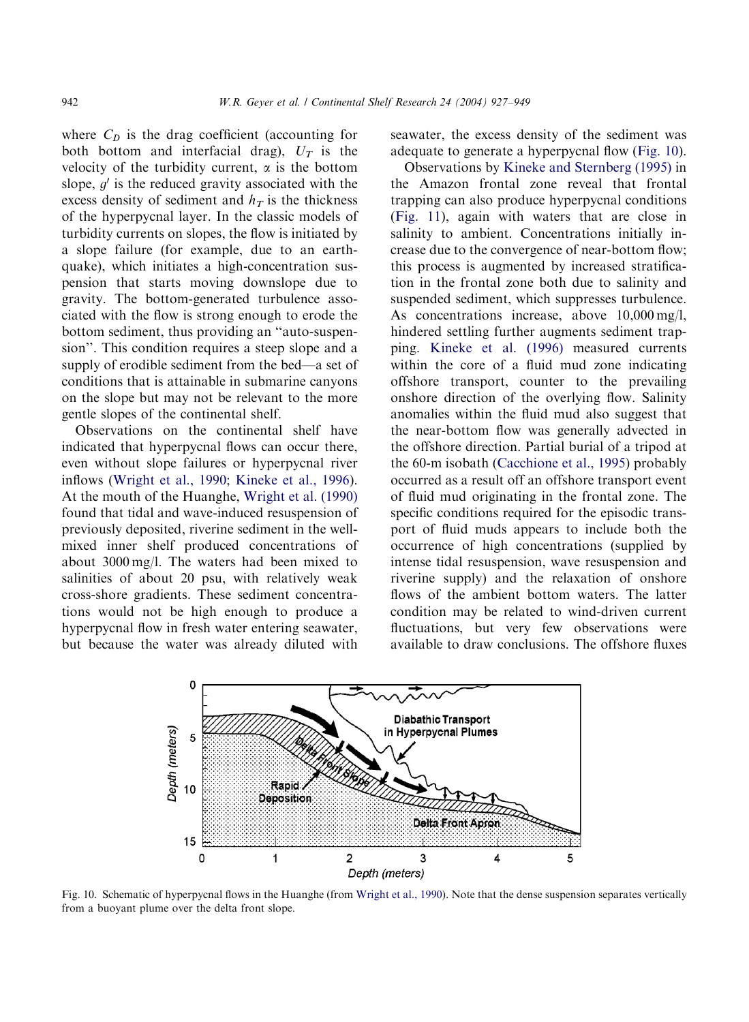where  $C_D$  is the drag coefficient (accounting for both bottom and interfacial drag),  $U_T$  is the velocity of the turbidity current,  $\alpha$  is the bottom slope,  $g'$  is the reduced gravity associated with the excess density of sediment and  $h<sub>T</sub>$  is the thickness of the hyperpycnal layer. In the classic models of turbidity currents on slopes, the flow is initiated by a slope failure (for example, due to an earthquake), which initiates a high-concentration suspension that starts moving downslope due to gravity. The bottom-generated turbulence associated with the flow is strong enough to erode the bottom sediment, thus providing an ''auto-suspension''. This condition requires a steep slope and a supply of erodible sediment from the bed—a set of conditions that is attainable in submarine canyons on the slope but may not be relevant to the more gentle slopes of the continental shelf.

Observations on the continental shelf have indicated that hyperpycnal flows can occur there, even without slope failures or hyperpycnal river inflows [\(Wright et al., 1990;](#page-22-0) [Kineke et al., 1996\)](#page-20-0). At the mouth of the Huanghe, [Wright et al. \(1990\)](#page-22-0) found that tidal and wave-induced resuspension of previously deposited, riverine sediment in the wellmixed inner shelf produced concentrations of about 3000 mg/l. The waters had been mixed to salinities of about 20 psu, with relatively weak cross-shore gradients. These sediment concentrations would not be high enough to produce a hyperpycnal flow in fresh water entering seawater, but because the water was already diluted with

seawater, the excess density of the sediment was adequate to generate a hyperpycnal flow (Fig. 10).

Observations by [Kineke and Sternberg \(1995\)](#page-20-0) in the Amazon frontal zone reveal that frontal trapping can also produce hyperpycnal conditions [\(Fig. 11\)](#page-16-0), again with waters that are close in salinity to ambient. Concentrations initially increase due to the convergence of near-bottom flow; this process is augmented by increased stratification in the frontal zone both due to salinity and suspended sediment, which suppresses turbulence. As concentrations increase, above 10,000 mg/l, hindered settling further augments sediment trapping. [Kineke et al. \(1996\)](#page-20-0) measured currents within the core of a fluid mud zone indicating offshore transport, counter to the prevailing onshore direction of the overlying flow. Salinity anomalies within the fluid mud also suggest that the near-bottom flow was generally advected in the offshore direction. Partial burial of a tripod at the 60-m isobath [\(Cacchione et al., 1995\)](#page-18-0) probably occurred as a result off an offshore transport event of fluid mud originating in the frontal zone. The specific conditions required for the episodic transport of fluid muds appears to include both the occurrence of high concentrations (supplied by intense tidal resuspension, wave resuspension and riverine supply) and the relaxation of onshore flows of the ambient bottom waters. The latter condition may be related to wind-driven current fluctuations, but very few observations were available to draw conclusions. The offshore fluxes



Fig. 10. Schematic of hyperpycnal flows in the Huanghe (from [Wright et al., 1990](#page-22-0)). Note that the dense suspension separates vertically from a buoyant plume over the delta front slope.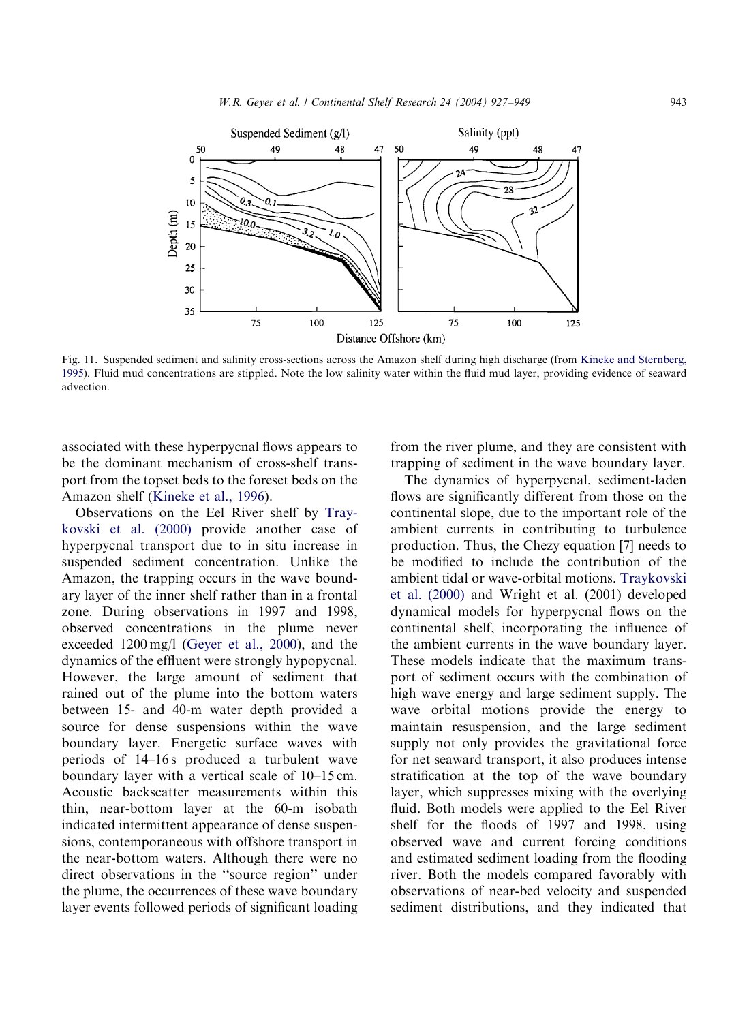<span id="page-16-0"></span>

Fig. 11. Suspended sediment and salinity cross-sections across the Amazon shelf during high discharge (from [Kineke and Sternberg,](#page-20-0) [1995\)](#page-20-0). Fluid mud concentrations are stippled. Note the low salinity water within the fluid mud layer, providing evidence of seaward advection.

associated with these hyperpycnal flows appears to be the dominant mechanism of cross-shelf transport from the topset beds to the foreset beds on the Amazon shelf ([Kineke et al., 1996](#page-20-0)).

Observations on the Eel River shelf by [Tray](#page-21-0)[kovski et al. \(2000\)](#page-21-0) provide another case of hyperpycnal transport due to in situ increase in suspended sediment concentration. Unlike the Amazon, the trapping occurs in the wave boundary layer of the inner shelf rather than in a frontal zone. During observations in 1997 and 1998, observed concentrations in the plume never exceeded 1200 mg/l ([Geyer et al., 2000\)](#page-19-0), and the dynamics of the effluent were strongly hypopycnal. However, the large amount of sediment that rained out of the plume into the bottom waters between 15- and 40-m water depth provided a source for dense suspensions within the wave boundary layer. Energetic surface waves with periods of 14–16 s produced a turbulent wave boundary layer with a vertical scale of 10–15 cm. Acoustic backscatter measurements within this thin, near-bottom layer at the 60-m isobath indicated intermittent appearance of dense suspensions, contemporaneous with offshore transport in the near-bottom waters. Although there were no direct observations in the ''source region'' under the plume, the occurrences of these wave boundary layer events followed periods of significant loading from the river plume, and they are consistent with trapping of sediment in the wave boundary layer.

The dynamics of hyperpycnal, sediment-laden flows are significantly different from those on the continental slope, due to the important role of the ambient currents in contributing to turbulence production. Thus, the Chezy equation [7] needs to be modified to include the contribution of the ambient tidal or wave-orbital motions. [Traykovski](#page-21-0) [et al. \(2000\)](#page-21-0) and Wright et al. (2001) developed dynamical models for hyperpycnal flows on the continental shelf, incorporating the influence of the ambient currents in the wave boundary layer. These models indicate that the maximum transport of sediment occurs with the combination of high wave energy and large sediment supply. The wave orbital motions provide the energy to maintain resuspension, and the large sediment supply not only provides the gravitational force for net seaward transport, it also produces intense stratification at the top of the wave boundary layer, which suppresses mixing with the overlying fluid. Both models were applied to the Eel River shelf for the floods of 1997 and 1998, using observed wave and current forcing conditions and estimated sediment loading from the flooding river. Both the models compared favorably with observations of near-bed velocity and suspended sediment distributions, and they indicated that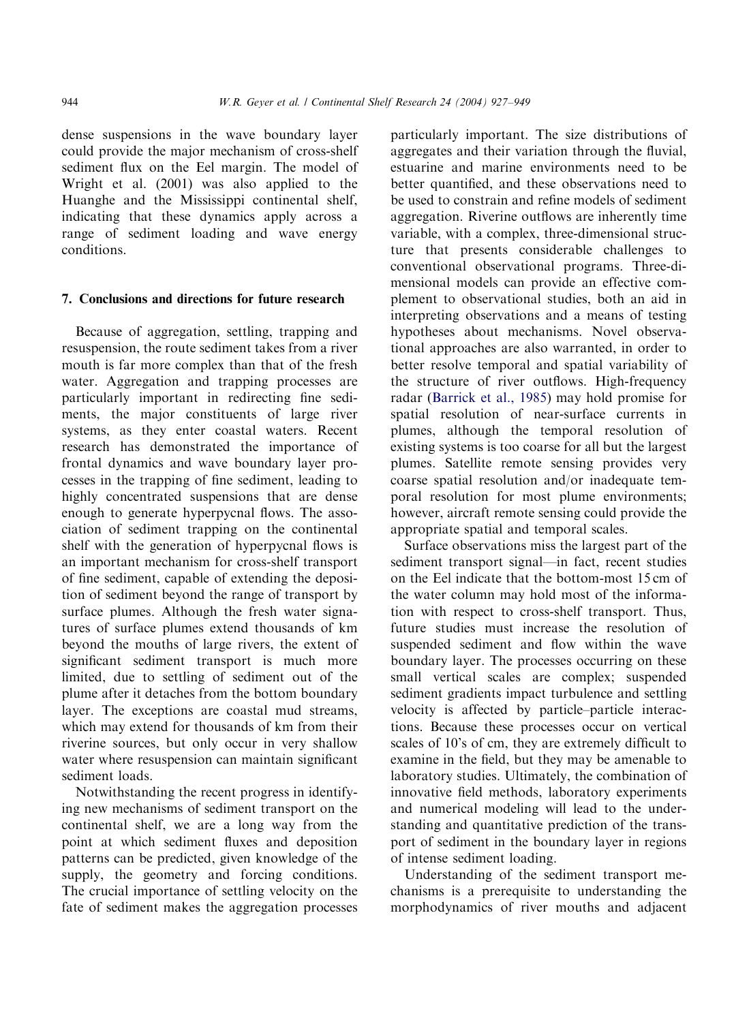dense suspensions in the wave boundary layer could provide the major mechanism of cross-shelf sediment flux on the Eel margin. The model of Wright et al. (2001) was also applied to the Huanghe and the Mississippi continental shelf, indicating that these dynamics apply across a range of sediment loading and wave energy conditions.

## 7. Conclusions and directions for future research

Because of aggregation, settling, trapping and resuspension, the route sediment takes from a river mouth is far more complex than that of the fresh water. Aggregation and trapping processes are particularly important in redirecting fine sediments, the major constituents of large river systems, as they enter coastal waters. Recent research has demonstrated the importance of frontal dynamics and wave boundary layer processes in the trapping of fine sediment, leading to highly concentrated suspensions that are dense enough to generate hyperpycnal flows. The association of sediment trapping on the continental shelf with the generation of hyperpycnal flows is an important mechanism for cross-shelf transport of fine sediment, capable of extending the deposition of sediment beyond the range of transport by surface plumes. Although the fresh water signatures of surface plumes extend thousands of km beyond the mouths of large rivers, the extent of significant sediment transport is much more limited, due to settling of sediment out of the plume after it detaches from the bottom boundary layer. The exceptions are coastal mud streams, which may extend for thousands of km from their riverine sources, but only occur in very shallow water where resuspension can maintain significant sediment loads.

Notwithstanding the recent progress in identifying new mechanisms of sediment transport on the continental shelf, we are a long way from the point at which sediment fluxes and deposition patterns can be predicted, given knowledge of the supply, the geometry and forcing conditions. The crucial importance of settling velocity on the fate of sediment makes the aggregation processes

particularly important. The size distributions of aggregates and their variation through the fluvial, estuarine and marine environments need to be better quantified, and these observations need to be used to constrain and refine models of sediment aggregation. Riverine outflows are inherently time variable, with a complex, three-dimensional structure that presents considerable challenges to conventional observational programs. Three-dimensional models can provide an effective complement to observational studies, both an aid in interpreting observations and a means of testing hypotheses about mechanisms. Novel observational approaches are also warranted, in order to better resolve temporal and spatial variability of the structure of river outflows. High-frequency radar ([Barrick et al., 1985](#page-18-0)) may hold promise for spatial resolution of near-surface currents in plumes, although the temporal resolution of existing systems is too coarse for all but the largest plumes. Satellite remote sensing provides very coarse spatial resolution and/or inadequate temporal resolution for most plume environments; however, aircraft remote sensing could provide the appropriate spatial and temporal scales.

Surface observations miss the largest part of the sediment transport signal—in fact, recent studies on the Eel indicate that the bottom-most 15 cm of the water column may hold most of the information with respect to cross-shelf transport. Thus, future studies must increase the resolution of suspended sediment and flow within the wave boundary layer. The processes occurring on these small vertical scales are complex; suspended sediment gradients impact turbulence and settling velocity is affected by particle–particle interactions. Because these processes occur on vertical scales of 10's of cm, they are extremely difficult to examine in the field, but they may be amenable to laboratory studies. Ultimately, the combination of innovative field methods, laboratory experiments and numerical modeling will lead to the understanding and quantitative prediction of the transport of sediment in the boundary layer in regions of intense sediment loading.

Understanding of the sediment transport mechanisms is a prerequisite to understanding the morphodynamics of river mouths and adjacent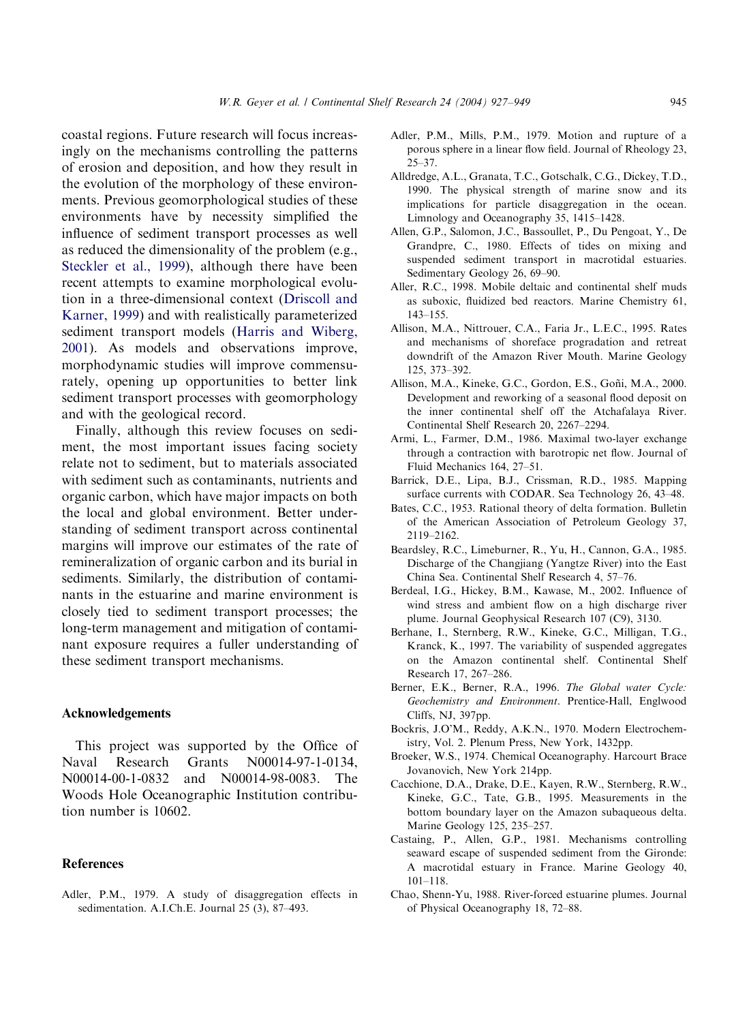<span id="page-18-0"></span>coastal regions. Future research will focus increasingly on the mechanisms controlling the patterns of erosion and deposition, and how they result in the evolution of the morphology of these environments. Previous geomorphological studies of these environments have by necessity simplified the influence of sediment transport processes as well as reduced the dimensionality of the problem (e.g., [Steckler et al., 1999\)](#page-21-0), although there have been recent attempts to examine morphological evolution in a three-dimensional context [\(Driscoll and](#page-19-0) [Karner, 1999](#page-19-0)) and with realistically parameterized sediment transport models ([Harris and Wiberg,](#page-19-0) [2001\)](#page-19-0). As models and observations improve, morphodynamic studies will improve commensurately, opening up opportunities to better link sediment transport processes with geomorphology and with the geological record.

Finally, although this review focuses on sediment, the most important issues facing society relate not to sediment, but to materials associated with sediment such as contaminants, nutrients and organic carbon, which have major impacts on both the local and global environment. Better understanding of sediment transport across continental margins will improve our estimates of the rate of remineralization of organic carbon and its burial in sediments. Similarly, the distribution of contaminants in the estuarine and marine environment is closely tied to sediment transport processes; the long-term management and mitigation of contaminant exposure requires a fuller understanding of these sediment transport mechanisms.

### Acknowledgements

This project was supported by the Office of Naval Research Grants N00014-97-1-0134, N00014-00-1-0832 and N00014-98-0083. The Woods Hole Oceanographic Institution contribution number is 10602.

#### References

Adler, P.M., 1979. A study of disaggregation effects in sedimentation. A.I.Ch.E. Journal 25 (3), 87–493.

- Adler, P.M., Mills, P.M., 1979. Motion and rupture of a porous sphere in a linear flow field. Journal of Rheology 23, 25–37.
- Alldredge, A.L., Granata, T.C., Gotschalk, C.G., Dickey, T.D., 1990. The physical strength of marine snow and its implications for particle disaggregation in the ocean. Limnology and Oceanography 35, 1415–1428.
- Allen, G.P., Salomon, J.C., Bassoullet, P., Du Pengoat, Y., De Grandpre, C., 1980. Effects of tides on mixing and suspended sediment transport in macrotidal estuaries. Sedimentary Geology 26, 69–90.
- Aller, R.C., 1998. Mobile deltaic and continental shelf muds as suboxic, fluidized bed reactors. Marine Chemistry 61, 143–155.
- Allison, M.A., Nittrouer, C.A., Faria Jr., L.E.C., 1995. Rates and mechanisms of shoreface progradation and retreat downdrift of the Amazon River Mouth. Marine Geology 125, 373–392.
- Allison, M.A., Kineke, G.C., Gordon, E.S., Goñi, M.A., 2000. Development and reworking of a seasonal flood deposit on the inner continental shelf off the Atchafalaya River. Continental Shelf Research 20, 2267–2294.
- Armi, L., Farmer, D.M., 1986. Maximal two-layer exchange through a contraction with barotropic net flow. Journal of Fluid Mechanics 164, 27–51.
- Barrick, D.E., Lipa, B.J., Crissman, R.D., 1985. Mapping surface currents with CODAR. Sea Technology 26, 43–48.
- Bates, C.C., 1953. Rational theory of delta formation. Bulletin of the American Association of Petroleum Geology 37, 2119–2162.
- Beardsley, R.C., Limeburner, R., Yu, H., Cannon, G.A., 1985. Discharge of the Changjiang (Yangtze River) into the East China Sea. Continental Shelf Research 4, 57–76.
- Berdeal, I.G., Hickey, B.M., Kawase, M., 2002. Influence of wind stress and ambient flow on a high discharge river plume. Journal Geophysical Research 107 (C9), 3130.
- Berhane, I., Sternberg, R.W., Kineke, G.C., Milligan, T.G., Kranck, K., 1997. The variability of suspended aggregates on the Amazon continental shelf. Continental Shelf Research 17, 267–286.
- Berner, E.K., Berner, R.A., 1996. The Global water Cycle: Geochemistry and Environment. Prentice-Hall, Englwood Cliffs, NJ, 397pp.
- Bockris, J.O'M., Reddy, A.K.N., 1970. Modern Electrochemistry, Vol. 2. Plenum Press, New York, 1432pp.
- Broeker, W.S., 1974. Chemical Oceanography. Harcourt Brace Jovanovich, New York 214pp.
- Cacchione, D.A., Drake, D.E., Kayen, R.W., Sternberg, R.W., Kineke, G.C., Tate, G.B., 1995. Measurements in the bottom boundary layer on the Amazon subaqueous delta. Marine Geology 125, 235–257.
- Castaing, P., Allen, G.P., 1981. Mechanisms controlling seaward escape of suspended sediment from the Gironde: A macrotidal estuary in France. Marine Geology 40, 101–118.
- Chao, Shenn-Yu, 1988. River-forced estuarine plumes. Journal of Physical Oceanography 18, 72–88.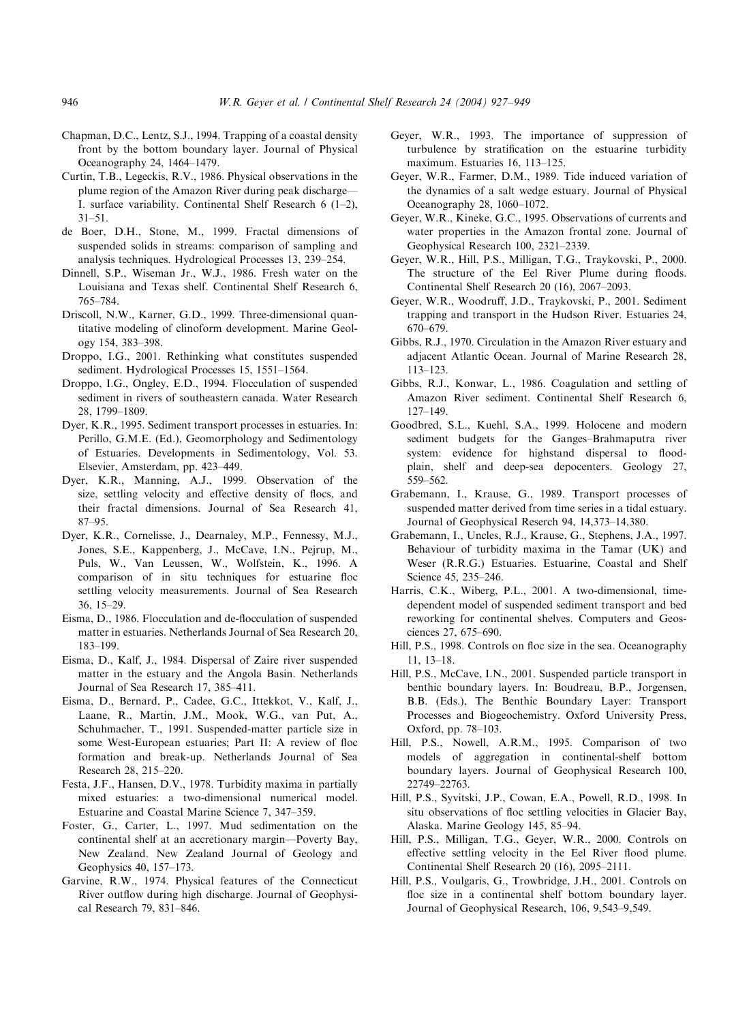- <span id="page-19-0"></span>Chapman, D.C., Lentz, S.J., 1994. Trapping of a coastal density front by the bottom boundary layer. Journal of Physical Oceanography 24, 1464–1479.
- Curtin, T.B., Legeckis, R.V., 1986. Physical observations in the plume region of the Amazon River during peak discharge— I. surface variability. Continental Shelf Research 6 (1–2), 31–51.
- de Boer, D.H., Stone, M., 1999. Fractal dimensions of suspended solids in streams: comparison of sampling and analysis techniques. Hydrological Processes 13, 239–254.
- Dinnell, S.P., Wiseman Jr., W.J., 1986. Fresh water on the Louisiana and Texas shelf. Continental Shelf Research 6, 765–784.
- Driscoll, N.W., Karner, G.D., 1999. Three-dimensional quantitative modeling of clinoform development. Marine Geology 154, 383–398.
- Droppo, I.G., 2001. Rethinking what constitutes suspended sediment. Hydrological Processes 15, 1551–1564.
- Droppo, I.G., Ongley, E.D., 1994. Flocculation of suspended sediment in rivers of southeastern canada. Water Research 28, 1799–1809.
- Dyer, K.R., 1995. Sediment transport processes in estuaries. In: Perillo, G.M.E. (Ed.), Geomorphology and Sedimentology of Estuaries. Developments in Sedimentology, Vol. 53. Elsevier, Amsterdam, pp. 423–449.
- Dyer, K.R., Manning, A.J., 1999. Observation of the size, settling velocity and effective density of flocs, and their fractal dimensions. Journal of Sea Research 41, 87–95.
- Dyer, K.R., Cornelisse, J., Dearnaley, M.P., Fennessy, M.J., Jones, S.E., Kappenberg, J., McCave, I.N., Pejrup, M., Puls, W., Van Leussen, W., Wolfstein, K., 1996. A comparison of in situ techniques for estuarine floc settling velocity measurements. Journal of Sea Research 36, 15–29.
- Eisma, D., 1986. Flocculation and de-flocculation of suspended matter in estuaries. Netherlands Journal of Sea Research 20, 183–199.
- Eisma, D., Kalf, J., 1984. Dispersal of Zaire river suspended matter in the estuary and the Angola Basin. Netherlands Journal of Sea Research 17, 385–411.
- Eisma, D., Bernard, P., Cadee, G.C., Ittekkot, V., Kalf, J., Laane, R., Martin, J.M., Mook, W.G., van Put, A., Schuhmacher, T., 1991. Suspended-matter particle size in some West-European estuaries; Part II: A review of floc formation and break-up. Netherlands Journal of Sea Research 28, 215–220.
- Festa, J.F., Hansen, D.V., 1978. Turbidity maxima in partially mixed estuaries: a two-dimensional numerical model. Estuarine and Coastal Marine Science 7, 347–359.
- Foster, G., Carter, L., 1997. Mud sedimentation on the continental shelf at an accretionary margin—Poverty Bay, New Zealand. New Zealand Journal of Geology and Geophysics 40, 157–173.
- Garvine, R.W., 1974. Physical features of the Connecticut River outflow during high discharge. Journal of Geophysical Research 79, 831–846.
- Geyer, W.R., 1993. The importance of suppression of turbulence by stratification on the estuarine turbidity maximum. Estuaries 16, 113–125.
- Geyer, W.R., Farmer, D.M., 1989. Tide induced variation of the dynamics of a salt wedge estuary. Journal of Physical Oceanography 28, 1060–1072.
- Geyer, W.R., Kineke, G.C., 1995. Observations of currents and water properties in the Amazon frontal zone. Journal of Geophysical Research 100, 2321–2339.
- Geyer, W.R., Hill, P.S., Milligan, T.G., Traykovski, P., 2000. The structure of the Eel River Plume during floods. Continental Shelf Research 20 (16), 2067–2093.
- Geyer, W.R., Woodruff, J.D., Traykovski, P., 2001. Sediment trapping and transport in the Hudson River. Estuaries 24, 670–679.
- Gibbs, R.J., 1970. Circulation in the Amazon River estuary and adjacent Atlantic Ocean. Journal of Marine Research 28, 113–123.
- Gibbs, R.J., Konwar, L., 1986. Coagulation and settling of Amazon River sediment. Continental Shelf Research 6, 127–149.
- Goodbred, S.L., Kuehl, S.A., 1999. Holocene and modern sediment budgets for the Ganges–Brahmaputra river system: evidence for highstand dispersal to floodplain, shelf and deep-sea depocenters. Geology 27, 559–562.
- Grabemann, I., Krause, G., 1989. Transport processes of suspended matter derived from time series in a tidal estuary. Journal of Geophysical Reserch 94, 14,373–14,380.
- Grabemann, I., Uncles, R.J., Krause, G., Stephens, J.A., 1997. Behaviour of turbidity maxima in the Tamar (UK) and Weser (R.R.G.) Estuaries. Estuarine, Coastal and Shelf Science 45, 235–246.
- Harris, C.K., Wiberg, P.L., 2001. A two-dimensional, timedependent model of suspended sediment transport and bed reworking for continental shelves. Computers and Geosciences 27, 675–690.
- Hill, P.S., 1998. Controls on floc size in the sea. Oceanography 11, 13–18.
- Hill, P.S., McCave, I.N., 2001. Suspended particle transport in benthic boundary layers. In: Boudreau, B.P., Jorgensen, B.B. (Eds.), The Benthic Boundary Layer: Transport Processes and Biogeochemistry. Oxford University Press, Oxford, pp. 78–103.
- Hill, P.S., Nowell, A.R.M., 1995. Comparison of two models of aggregation in continental-shelf bottom boundary layers. Journal of Geophysical Research 100, 22749–22763.
- Hill, P.S., Syvitski, J.P., Cowan, E.A., Powell, R.D., 1998. In situ observations of floc settling velocities in Glacier Bay, Alaska. Marine Geology 145, 85–94.
- Hill, P.S., Milligan, T.G., Geyer, W.R., 2000. Controls on effective settling velocity in the Eel River flood plume. Continental Shelf Research 20 (16), 2095–2111.
- Hill, P.S., Voulgaris, G., Trowbridge, J.H., 2001. Controls on floc size in a continental shelf bottom boundary layer. Journal of Geophysical Research, 106, 9,543–9,549.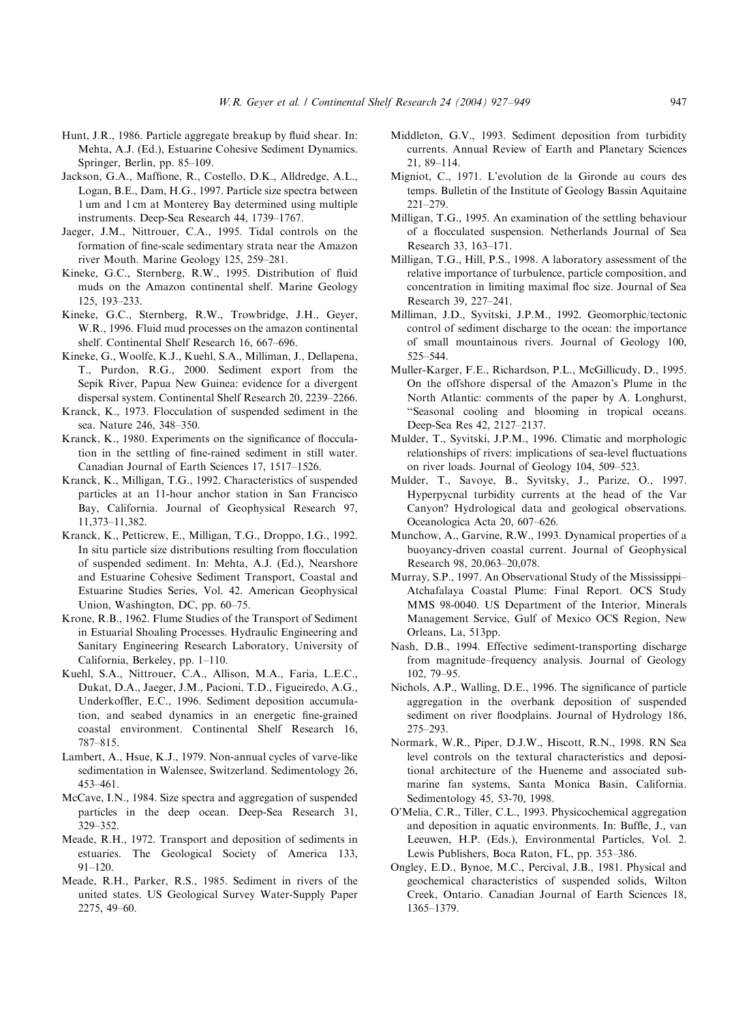- <span id="page-20-0"></span>Hunt, J.R., 1986. Particle aggregate breakup by fluid shear. In: Mehta, A.J. (Ed.), Estuarine Cohesive Sediment Dynamics. Springer, Berlin, pp. 85–109.
- Jackson, G.A., Maffione, R., Costello, D.K., Alldredge, A.L., Logan, B.E., Dam, H.G., 1997. Particle size spectra between 1 um and 1 cm at Monterey Bay determined using multiple instruments. Deep-Sea Research 44, 1739–1767.
- Jaeger, J.M., Nittrouer, C.A., 1995. Tidal controls on the formation of fine-scale sedimentary strata near the Amazon river Mouth. Marine Geology 125, 259–281.
- Kineke, G.C., Sternberg, R.W., 1995. Distribution of fluid muds on the Amazon continental shelf. Marine Geology 125, 193–233.
- Kineke, G.C., Sternberg, R.W., Trowbridge, J.H., Geyer, W.R., 1996. Fluid mud processes on the amazon continental shelf. Continental Shelf Research 16, 667–696.
- Kineke, G., Woolfe, K.J., Kuehl, S.A., Milliman, J., Dellapena, T., Purdon, R.G., 2000. Sediment export from the Sepik River, Papua New Guinea: evidence for a divergent dispersal system. Continental Shelf Research 20, 2239–2266.
- Kranck, K., 1973. Flocculation of suspended sediment in the sea. Nature 246, 348–350.
- Kranck, K., 1980. Experiments on the significance of flocculation in the settling of fine-rained sediment in still water. Canadian Journal of Earth Sciences 17, 1517–1526.
- Kranck, K., Milligan, T.G., 1992. Characteristics of suspended particles at an 11-hour anchor station in San Francisco Bay, California. Journal of Geophysical Research 97, 11,373–11,382.
- Kranck, K., Petticrew, E., Milligan, T.G., Droppo, I.G., 1992. In situ particle size distributions resulting from flocculation of suspended sediment. In: Mehta, A.J. (Ed.), Nearshore and Estuarine Cohesive Sediment Transport, Coastal and Estuarine Studies Series, Vol. 42. American Geophysical Union, Washington, DC, pp. 60–75.
- Krone, R.B., 1962. Flume Studies of the Transport of Sediment in Estuarial Shoaling Processes. Hydraulic Engineering and Sanitary Engineering Research Laboratory, University of California, Berkeley, pp. 1–110.
- Kuehl, S.A., Nittrouer, C.A., Allison, M.A., Faria, L.E.C., Dukat, D.A., Jaeger, J.M., Pacioni, T.D., Figueiredo, A.G., Underkoffler, E.C., 1996. Sediment deposition accumulation, and seabed dynamics in an energetic fine-grained coastal environment. Continental Shelf Research 16, 787–815.
- Lambert, A., Hsue, K.J., 1979. Non-annual cycles of varve-like sedimentation in Walensee, Switzerland. Sedimentology 26, 453–461.
- McCave, I.N., 1984. Size spectra and aggregation of suspended particles in the deep ocean. Deep-Sea Research 31, 329–352.
- Meade, R.H., 1972. Transport and deposition of sediments in estuaries. The Geological Society of America 133, 91–120.
- Meade, R.H., Parker, R.S., 1985. Sediment in rivers of the united states. US Geological Survey Water-Supply Paper 2275, 49–60.
- Middleton, G.V., 1993. Sediment deposition from turbidity currents. Annual Review of Earth and Planetary Sciences 21, 89–114.
- Migniot, C., 1971. L'evolution de la Gironde au cours des temps. Bulletin of the Institute of Geology Bassin Aquitaine 221–279.
- Milligan, T.G., 1995. An examination of the settling behaviour of a flocculated suspension. Netherlands Journal of Sea Research 33, 163–171.
- Milligan, T.G., Hill, P.S., 1998. A laboratory assessment of the relative importance of turbulence, particle composition, and concentration in limiting maximal floc size. Journal of Sea Research 39, 227–241.
- Milliman, J.D., Syvitski, J.P.M., 1992. Geomorphic/tectonic control of sediment discharge to the ocean: the importance of small mountainous rivers. Journal of Geology 100, 525–544.
- Muller-Karger, F.E., Richardson, P.L., McGillicudy, D., 1995. On the offshore dispersal of the Amazon's Plume in the North Atlantic: comments of the paper by A. Longhurst, ''Seasonal cooling and blooming in tropical oceans. Deep-Sea Res 42, 2127–2137.
- Mulder, T., Syvitski, J.P.M., 1996. Climatic and morphologic relationships of rivers: implications of sea-level fluctuations on river loads. Journal of Geology 104, 509–523.
- Mulder, T., Savoye, B., Syvitsky, J., Parize, O., 1997. Hyperpycnal turbidity currents at the head of the Var Canyon? Hydrological data and geological observations. Oceanologica Acta 20, 607–626.
- Munchow, A., Garvine, R.W., 1993. Dynamical properties of a buoyancy-driven coastal current. Journal of Geophysical Research 98, 20,063–20,078.
- Murray, S.P., 1997. An Observational Study of the Mississippi– Atchafalaya Coastal Plume: Final Report. OCS Study MMS 98-0040. US Department of the Interior, Minerals Management Service, Gulf of Mexico OCS Region, New Orleans, La, 513pp.
- Nash, D.B., 1994. Effective sediment-transporting discharge from magnitude–frequency analysis. Journal of Geology 102, 79–95.
- Nichols, A.P., Walling, D.E., 1996. The significance of particle aggregation in the overbank deposition of suspended sediment on river floodplains. Journal of Hydrology 186, 275–293.
- Normark, W.R., Piper, D.J.W., Hiscott, R.N., 1998. RN Sea level controls on the textural characteristics and depositional architecture of the Hueneme and associated submarine fan systems, Santa Monica Basin, California. Sedimentology 45, 53-70, 1998.
- O'Melia, C.R., Tiller, C.L., 1993. Physicochemical aggregation and deposition in aquatic environments. In: Buffle, J., van Leeuwen, H.P. (Eds.), Environmental Particles, Vol. 2. Lewis Publishers, Boca Raton, FL, pp. 353–386.
- Ongley, E.D., Bynoe, M.C., Percival, J.B., 1981. Physical and geochemical characteristics of suspended solids, Wilton Creek, Ontario. Canadian Journal of Earth Sciences 18, 1365–1379.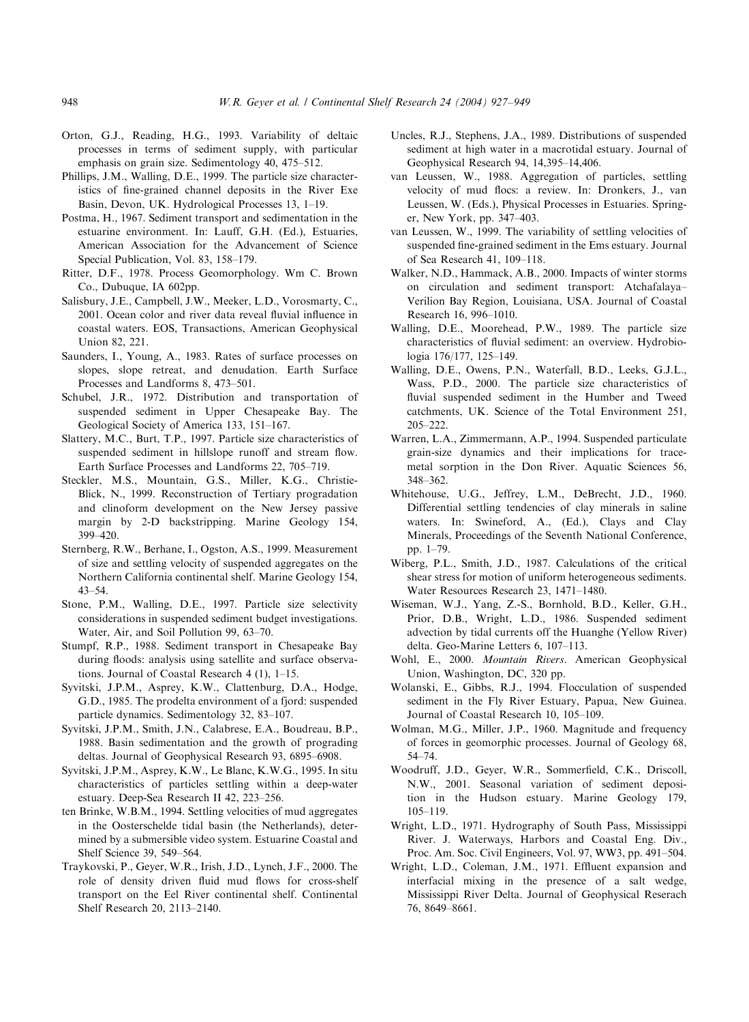- <span id="page-21-0"></span>Orton, G.J., Reading, H.G., 1993. Variability of deltaic processes in terms of sediment supply, with particular emphasis on grain size. Sedimentology 40, 475–512.
- Phillips, J.M., Walling, D.E., 1999. The particle size characteristics of fine-grained channel deposits in the River Exe Basin, Devon, UK. Hydrological Processes 13, 1–19.
- Postma, H., 1967. Sediment transport and sedimentation in the estuarine environment. In: Lauff, G.H. (Ed.), Estuaries, American Association for the Advancement of Science Special Publication, Vol. 83, 158–179.
- Ritter, D.F., 1978. Process Geomorphology. Wm C. Brown Co., Dubuque, IA 602pp.
- Salisbury, J.E., Campbell, J.W., Meeker, L.D., Vorosmarty, C., 2001. Ocean color and river data reveal fluvial influence in coastal waters. EOS, Transactions, American Geophysical Union 82, 221.
- Saunders, I., Young, A., 1983. Rates of surface processes on slopes, slope retreat, and denudation. Earth Surface Processes and Landforms 8, 473–501.
- Schubel, J.R., 1972. Distribution and transportation of suspended sediment in Upper Chesapeake Bay. The Geological Society of America 133, 151–167.
- Slattery, M.C., Burt, T.P., 1997. Particle size characteristics of suspended sediment in hillslope runoff and stream flow. Earth Surface Processes and Landforms 22, 705–719.
- Steckler, M.S., Mountain, G.S., Miller, K.G., Christie-Blick, N., 1999. Reconstruction of Tertiary progradation and clinoform development on the New Jersey passive margin by 2-D backstripping. Marine Geology 154, 399–420.
- Sternberg, R.W., Berhane, I., Ogston, A.S., 1999. Measurement of size and settling velocity of suspended aggregates on the Northern California continental shelf. Marine Geology 154, 43–54.
- Stone, P.M., Walling, D.E., 1997. Particle size selectivity considerations in suspended sediment budget investigations. Water, Air, and Soil Pollution 99, 63–70.
- Stumpf, R.P., 1988. Sediment transport in Chesapeake Bay during floods: analysis using satellite and surface observations. Journal of Coastal Research 4 (1), 1–15.
- Syvitski, J.P.M., Asprey, K.W., Clattenburg, D.A., Hodge, G.D., 1985. The prodelta environment of a fjord: suspended particle dynamics. Sedimentology 32, 83–107.
- Syvitski, J.P.M., Smith, J.N., Calabrese, E.A., Boudreau, B.P., 1988. Basin sedimentation and the growth of prograding deltas. Journal of Geophysical Research 93, 6895–6908.
- Syvitski, J.P.M., Asprey, K.W., Le Blanc, K.W.G., 1995. In situ characteristics of particles settling within a deep-water estuary. Deep-Sea Research II 42, 223–256.
- ten Brinke, W.B.M., 1994. Settling velocities of mud aggregates in the Oosterschelde tidal basin (the Netherlands), determined by a submersible video system. Estuarine Coastal and Shelf Science 39, 549–564.
- Traykovski, P., Geyer, W.R., Irish, J.D., Lynch, J.F., 2000. The role of density driven fluid mud flows for cross-shelf transport on the Eel River continental shelf. Continental Shelf Research 20, 2113–2140.
- Uncles, R.J., Stephens, J.A., 1989. Distributions of suspended sediment at high water in a macrotidal estuary. Journal of Geophysical Research 94, 14,395–14,406.
- van Leussen, W., 1988. Aggregation of particles, settling velocity of mud flocs: a review. In: Dronkers, J., van Leussen, W. (Eds.), Physical Processes in Estuaries. Springer, New York, pp. 347–403.
- van Leussen, W., 1999. The variability of settling velocities of suspended fine-grained sediment in the Ems estuary. Journal of Sea Research 41, 109–118.
- Walker, N.D., Hammack, A.B., 2000. Impacts of winter storms on circulation and sediment transport: Atchafalaya– Verilion Bay Region, Louisiana, USA. Journal of Coastal Research 16, 996–1010.
- Walling, D.E., Moorehead, P.W., 1989. The particle size characteristics of fluvial sediment: an overview. Hydrobiologia 176/177, 125–149.
- Walling, D.E., Owens, P.N., Waterfall, B.D., Leeks, G.J.L., Wass, P.D., 2000. The particle size characteristics of fluvial suspended sediment in the Humber and Tweed catchments, UK. Science of the Total Environment 251, 205–222.
- Warren, L.A., Zimmermann, A.P., 1994. Suspended particulate grain-size dynamics and their implications for tracemetal sorption in the Don River. Aquatic Sciences 56, 348–362.
- Whitehouse, U.G., Jeffrey, L.M., DeBrecht, J.D., 1960. Differential settling tendencies of clay minerals in saline waters. In: Swineford, A., (Ed.), Clays and Clay Minerals, Proceedings of the Seventh National Conference, pp. 1–79.
- Wiberg, P.L., Smith, J.D., 1987. Calculations of the critical shear stress for motion of uniform heterogeneous sediments. Water Resources Research 23, 1471–1480.
- Wiseman, W.J., Yang, Z.-S., Bornhold, B.D., Keller, G.H., Prior, D.B., Wright, L.D., 1986. Suspended sediment advection by tidal currents off the Huanghe (Yellow River) delta. Geo-Marine Letters 6, 107–113.
- Wohl, E., 2000. Mountain Rivers. American Geophysical Union, Washington, DC, 320 pp.
- Wolanski, E., Gibbs, R.J., 1994. Flocculation of suspended sediment in the Fly River Estuary, Papua, New Guinea. Journal of Coastal Research 10, 105–109.
- Wolman, M.G., Miller, J.P., 1960. Magnitude and frequency of forces in geomorphic processes. Journal of Geology 68, 54–74.
- Woodruff, J.D., Geyer, W.R., Sommerfield, C.K., Driscoll, N.W., 2001. Seasonal variation of sediment deposition in the Hudson estuary. Marine Geology 179, 105–119.
- Wright, L.D., 1971. Hydrography of South Pass, Mississippi River. J. Waterways, Harbors and Coastal Eng. Div., Proc. Am. Soc. Civil Engineers, Vol. 97, WW3, pp. 491–504.
- Wright, L.D., Coleman, J.M., 1971. Effluent expansion and interfacial mixing in the presence of a salt wedge, Mississippi River Delta. Journal of Geophysical Reserach 76, 8649–8661.